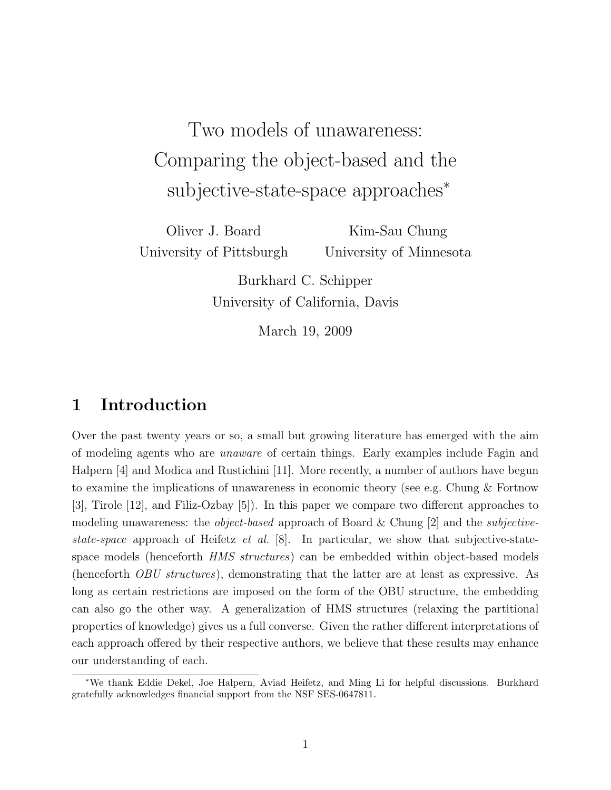Two models of unawareness: Comparing the object-based and the subjective-state-space approaches<sup>\*</sup>

Oliver J. Board University of Pittsburgh

Kim-Sau Chung University of Minnesota

Burkhard C. Schipper University of California, Davis

March 19, 2009

# 1 Introduction

Over the past twenty years or so, a small but growing literature has emerged with the aim of modeling agents who are unaware of certain things. Early examples include Fagin and Halpern [4] and Modica and Rustichini [11]. More recently, a number of authors have begun to examine the implications of unawareness in economic theory (see e.g. Chung & Fortnow [3], Tirole [12], and Filiz-Ozbay [5]). In this paper we compare two different approaches to modeling unawareness: the *object-based* approach of Board & Chung [2] and the *subjective*state-space approach of Heifetz et al. [8]. In particular, we show that subjective-statespace models (henceforth *HMS structures*) can be embedded within object-based models (henceforth OBU structures), demonstrating that the latter are at least as expressive. As long as certain restrictions are imposed on the form of the OBU structure, the embedding can also go the other way. A generalization of HMS structures (relaxing the partitional properties of knowledge) gives us a full converse. Given the rather different interpretations of each approach offered by their respective authors, we believe that these results may enhance our understanding of each.

<sup>∗</sup>We thank Eddie Dekel, Joe Halpern, Aviad Heifetz, and Ming Li for helpful discussions. Burkhard gratefully acknowledges financial support from the NSF SES-0647811.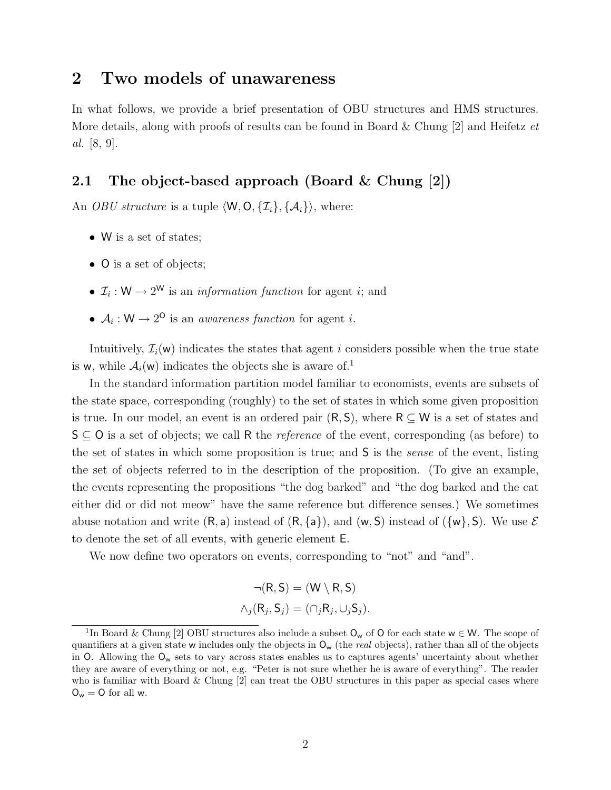# 2 Two models of unawareness

In what follows, we provide a brief presentation of OBU structures and HMS structures. More details, along with proofs of results can be found in Board & Chung  $[2]$  and Heifetz et al. [8, 9].

## 2.1 The object-based approach (Board & Chung [2])

An *OBU structure* is a tuple  $\langle W, O, \{I_i\}, \{A_i\}\rangle$ , where:

- W is a set of states;
- O is a set of objects;
- $\mathcal{I}_i: W \to 2^W$  is an *information function* for agent *i*; and
- $A_i: W \to 2^{\mathsf{O}}$  is an *awareness function* for agent *i*.

Intuitively,  $\mathcal{I}_i(\mathsf{w})$  indicates the states that agent i considers possible when the true state is **w**, while  $A_i(w)$  indicates the objects she is aware of.<sup>1</sup>

In the standard information partition model familiar to economists, events are subsets of the state space, corresponding (roughly) to the set of states in which some given proposition is true. In our model, an event is an ordered pair  $(R, S)$ , where  $R \subseteq W$  is a set of states and  $S \subseteq O$  is a set of objects; we call R the *reference* of the event, corresponding (as before) to the set of states in which some proposition is true; and S is the sense of the event, listing the set of objects referred to in the description of the proposition. (To give an example, the events representing the propositions "the dog barked" and "the dog barked and the cat either did or did not meow" have the same reference but difference senses.) We sometimes abuse notation and write  $(R, a)$  instead of  $(R, \{a\})$ , and  $(w, S)$  instead of  $(\{w\}, S)$ . We use  $\mathcal E$ to denote the set of all events, with generic element E.

We now define two operators on events, corresponding to "not" and "and".

$$
\neg(R, S) = (W \setminus R, S)
$$

$$
\land_j(R_j, S_j) = (\cap_j R_j, \cup_j S_j).
$$

<sup>&</sup>lt;sup>1</sup>In Board & Chung [2] OBU structures also include a subset  $O_w$  of O for each state  $w \in W$ . The scope of quantifiers at a given state w includes only the objects in  $O_w$  (the *real* objects), rather than all of the objects in O. Allowing the  $O_w$  sets to vary across states enables us to captures agents' uncertainty about whether they are aware of everything or not, e.g. "Peter is not sure whether he is aware of everything". The reader who is familiar with Board  $\&$  Chung  $[2]$  can treat the OBU structures in this paper as special cases where  $O_w = O$  for all w.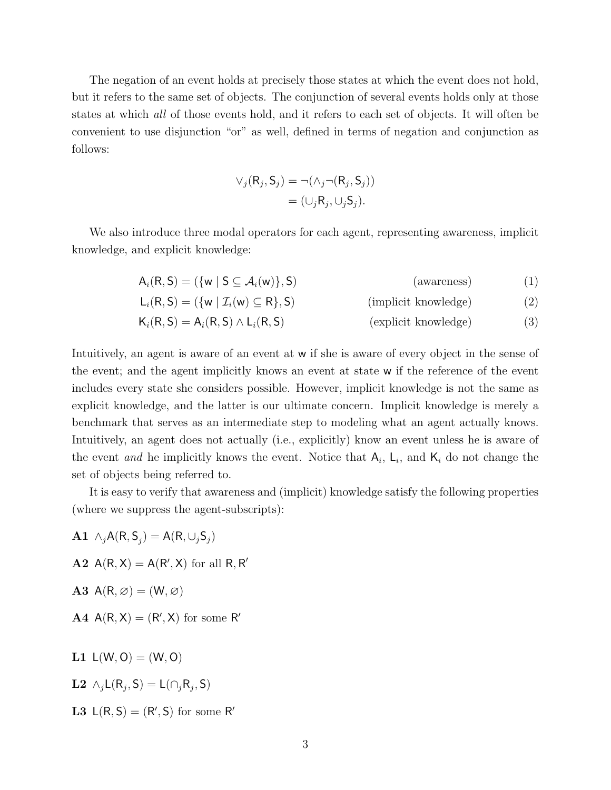The negation of an event holds at precisely those states at which the event does not hold, but it refers to the same set of objects. The conjunction of several events holds only at those states at which all of those events hold, and it refers to each set of objects. It will often be convenient to use disjunction "or" as well, defined in terms of negation and conjunction as follows:

$$
\vee_j(R_j, S_j) = \neg(\wedge_j \neg(R_j, S_j))
$$

$$
= (\cup_j R_j, \cup_j S_j).
$$

We also introduce three modal operators for each agent, representing awareness, implicit knowledge, and explicit knowledge:

$$
A_i(R, S) = (\{w \mid S \subseteq A_i(w)\}, S) \tag{awareness}
$$
 (1)

$$
L_i(R, S) = (\{w \mid \mathcal{I}_i(w) \subseteq R\}, S) \tag{implicit knowledge}
$$
 (2)

$$
K_i(R, S) = A_i(R, S) \wedge L_i(R, S)
$$
 (explicit knowledge) (3)

Intuitively, an agent is aware of an event at w if she is aware of every object in the sense of the event; and the agent implicitly knows an event at state w if the reference of the event includes every state she considers possible. However, implicit knowledge is not the same as explicit knowledge, and the latter is our ultimate concern. Implicit knowledge is merely a benchmark that serves as an intermediate step to modeling what an agent actually knows. Intuitively, an agent does not actually (i.e., explicitly) know an event unless he is aware of the event and he implicitly knows the event. Notice that  $A_i$ ,  $L_i$ , and  $K_i$  do not change the set of objects being referred to.

It is easy to verify that awareness and (implicit) knowledge satisfy the following properties (where we suppress the agent-subscripts):

- **A1**  $\wedge_j \mathsf{A}(\mathsf{R}, \mathsf{S}_j) = \mathsf{A}(\mathsf{R}, \cup_j \mathsf{S}_j)$ A2  $A(R, X) = A(R', X)$  for all R, R' A3  $A(R, \emptyset) = (W, \emptyset)$ A4  $A(R, X) = (R', X)$  for some R' **L1**  $L(W, O) = (W, O)$ **L2**  $\wedge_j \mathsf{L}(\mathsf{R}_j, \mathsf{S}) = \mathsf{L}(\cap_j \mathsf{R}_j, \mathsf{S})$
- L3  $L(R, S) = (R', S)$  for some R'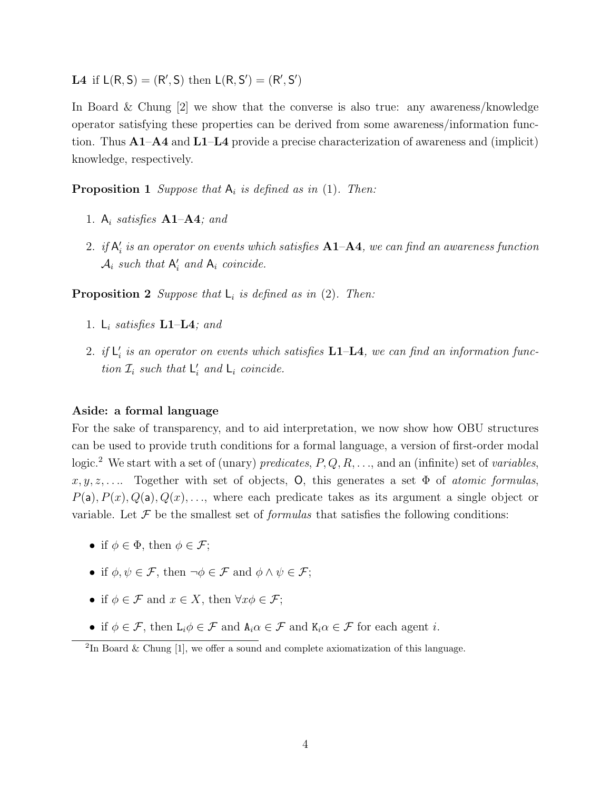L4 if  $L(R, S) = (R', S)$  then  $L(R, S') = (R', S')$ 

In Board & Chung [2] we show that the converse is also true: any awareness/knowledge operator satisfying these properties can be derived from some awareness/information function. Thus  $A1-A4$  and  $L1-L4$  provide a precise characterization of awareness and (implicit) knowledge, respectively.

**Proposition 1** Suppose that  $A_i$  is defined as in (1). Then:

- 1.  $A_i$  satisfies  $A1-A4$ ; and
- 2. if  $\mathsf{A}_i'$  is an operator on events which satisfies  $\mathbf{A1}\text{--}\mathbf{A4}$ , we can find an awareness function  $\mathcal{A}_i$  such that  $\mathsf{A}'_i$  and  $\mathsf{A}_i$  coincide.

**Proposition 2** Suppose that  $L_i$  is defined as in (2). Then:

- 1.  $L_i$  satisfies  $L1-L4$ ; and
- 2. if  $\mathsf{L}'_i$  is an operator on events which satisfies  $\mathbf{L1} \mathbf{L4}$ , we can find an information function  $\mathcal{I}_i$  such that  $\mathsf{L}'_i$  and  $\mathsf{L}_i$  coincide.

### Aside: a formal language

For the sake of transparency, and to aid interpretation, we now show how OBU structures can be used to provide truth conditions for a formal language, a version of first-order modal logic.<sup>2</sup> We start with a set of (unary) predicates,  $P, Q, R, \ldots$ , and an (infinite) set of variables,  $x, y, z, \ldots$  Together with set of objects, O, this generates a set  $\Phi$  of atomic formulas,  $P(a), P(x), Q(a), Q(x), \ldots$ , where each predicate takes as its argument a single object or variable. Let  $\mathcal F$  be the smallest set of *formulas* that satisfies the following conditions:

- if  $\phi \in \Phi$ , then  $\phi \in \mathcal{F}$ ;
- if  $\phi, \psi \in \mathcal{F}$ , then  $\neg \phi \in \mathcal{F}$  and  $\phi \wedge \psi \in \mathcal{F}$ ;
- if  $\phi \in \mathcal{F}$  and  $x \in X$ , then  $\forall x \phi \in \mathcal{F}$ :
- if  $\phi \in \mathcal{F}$ , then  $L_i \phi \in \mathcal{F}$  and  $A_i \alpha \in \mathcal{F}$  and  $K_i \alpha \in \mathcal{F}$  for each agent *i*.

<sup>&</sup>lt;sup>2</sup>In Board & Chung  $[1]$ , we offer a sound and complete axiomatization of this language.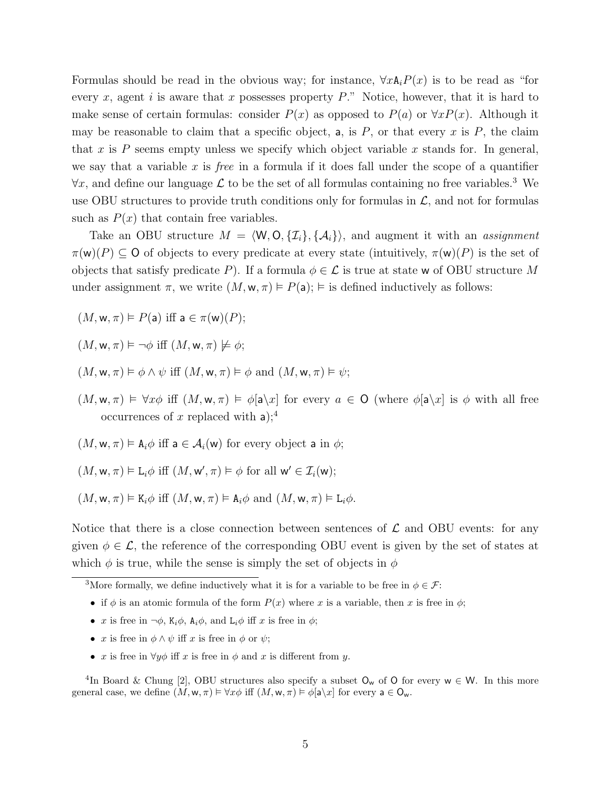Formulas should be read in the obvious way; for instance,  $\forall x \mathbf{A}_i P(x)$  is to be read as "for every x, agent i is aware that x possesses property  $P$ ." Notice, however, that it is hard to make sense of certain formulas: consider  $P(x)$  as opposed to  $P(a)$  or  $\forall x P(x)$ . Although it may be reasonable to claim that a specific object, a, is  $P$ , or that every  $x$  is  $P$ , the claim that x is P seems empty unless we specify which object variable x stands for. In general, we say that a variable  $x$  is *free* in a formula if it does fall under the scope of a quantifier  $\forall x$ , and define our language  $\mathcal L$  to be the set of all formulas containing no free variables.<sup>3</sup> We use OBU structures to provide truth conditions only for formulas in  $\mathcal{L}$ , and not for formulas such as  $P(x)$  that contain free variables.

Take an OBU structure  $M = \langle W, O, \{I_i\}, \{A_i\} \rangle$ , and augment it with an assignment  $\pi(w)(P) \subseteq O$  of objects to every predicate at every state (intuitively,  $\pi(w)(P)$  is the set of objects that satisfy predicate P). If a formula  $\phi \in \mathcal{L}$  is true at state w of OBU structure M under assignment  $\pi$ , we write  $(M, \mathbf{w}, \pi) \models P(\mathsf{a})$ ;  $\models$  is defined inductively as follows:

 $(M, w, \pi) \models P(\mathsf{a})$  iff  $\mathsf{a} \in \pi(w)(P)$ ;

 $(M, w, \pi) \models \neg \phi$  iff  $(M, w, \pi) \not\models \phi$ ;

- $(M, w, \pi) \models \phi \land \psi$  iff  $(M, w, \pi) \models \phi$  and  $(M, w, \pi) \models \psi$ ;
- $(M, w, \pi) \models \forall x \phi$  iff  $(M, w, \pi) \models \phi[a \setminus x]$  for every  $a \in O$  (where  $\phi[a \setminus x]$  is  $\phi$  with all free occurrences of x replaced with  $a$ );<sup>4</sup>
- $(M, w, \pi) \models A_i \phi$  iff  $a \in A_i(w)$  for every object a in  $\phi$ ;

$$
(M, w, \pi) \vDash
$$
  $L_i \phi$  iff  $(M, w', \pi) \vDash \phi$  for all  $w' \in \mathcal{I}_i(w)$ ;

$$
(M, \mathbf{w}, \pi) \vDash \mathbf{K}_i \phi
$$
 iff  $(M, \mathbf{w}, \pi) \vDash \mathbf{A}_i \phi$  and  $(M, \mathbf{w}, \pi) \vDash \mathbf{L}_i \phi$ .

Notice that there is a close connection between sentences of  $\mathcal L$  and OBU events: for any given  $\phi \in \mathcal{L}$ , the reference of the corresponding OBU event is given by the set of states at which  $\phi$  is true, while the sense is simply the set of objects in  $\phi$ 

- if  $\phi$  is an atomic formula of the form  $P(x)$  where x is a variable, then x is free in  $\phi$ ;
- x is free in  $\neg \phi$ , K<sub>i</sub> $\phi$ , A<sub>i</sub> $\phi$ , and L<sub>i</sub> $\phi$  iff x is free in  $\phi$ ;
- x is free in  $\phi \wedge \psi$  iff x is free in  $\phi$  or  $\psi$ ;
- x is free in  $\forall y \phi$  iff x is free in  $\phi$  and x is different from y.

<sup>4</sup>In Board & Chung [2], OBU structures also specify a subset  $O_w$  of O for every  $w \in W$ . In this more general case, we define  $(M, w, \pi) \models \forall x \phi$  iff  $(M, w, \pi) \models \phi[\mathsf{a} \setminus x]$  for every  $\mathsf{a} \in \mathsf{O}_w$ .

<sup>&</sup>lt;sup>3</sup>More formally, we define inductively what it is for a variable to be free in  $\phi \in \mathcal{F}$ :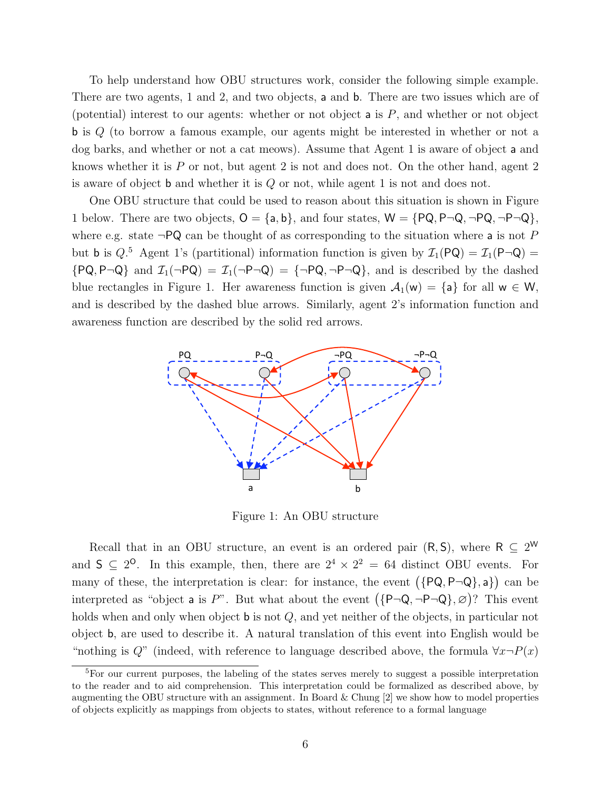To help understand how OBU structures work, consider the following simple example. There are two agents, 1 and 2, and two objects, a and b. There are two issues which are of (potential) interest to our agents: whether or not object  $a$  is  $P$ , and whether or not object b is Q (to borrow a famous example, our agents might be interested in whether or not a dog barks, and whether or not a cat meows). Assume that Agent 1 is aware of object a and knows whether it is P or not, but agent 2 is not and does not. On the other hand, agent 2 is aware of object b and whether it is Q or not, while agent 1 is not and does not.

One OBU structure that could be used to reason about this situation is shown in Figure 1 below. There are two objects,  $O = \{a, b\}$ , and four states,  $W = \{PQ, P\neg Q, \neg PQ, \neg P\neg Q\}$ , where e.g. state  $\neg PQ$  can be thought of as corresponding to the situation where a is not P but **b** is  $Q$ <sup>5</sup> Agent 1's (partitional) information function is given by  $\mathcal{I}_1(PQ) = \mathcal{I}_1(P\cap Q)$  ${PQ, P\neg Q}$  and  $\mathcal{I}_1(\neg PQ) = \mathcal{I}_1(\neg P\neg Q) = {\neg PQ, \neg P\neg Q}$ , and is described by the dashed blue rectangles in Figure 1. Her awareness function is given  $A_1(w) = \{a\}$  for all  $w \in W$ , and is described by the dashed blue arrows. Similarly, agent 2's information function and awareness function are described by the solid red arrows.



Figure 1: An OBU structure

Recall that in an OBU structure, an event is an ordered pair  $(R, S)$ , where  $R \subseteq 2^W$ and  $S \subseteq 2^{\circ}$ . In this example, then, there are  $2^4 \times 2^2 = 64$  distinct OBU events. For many of these, the interpretation is clear: for instance, the event  $(\{PQ, P\neg Q\}, a\})$  can be interpreted as "object **a** is P". But what about the event  $(\{P\neg Q, \neg P\neg Q\}, \varnothing)$ ? This event holds when and only when object **b** is not Q, and yet neither of the objects, in particular not object b, are used to describe it. A natural translation of this event into English would be "nothing is  $Q$ " (indeed, with reference to language described above, the formula  $\forall x \neg P(x)$ 

 ${}^{5}$ For our current purposes, the labeling of the states serves merely to suggest a possible interpretation to the reader and to aid comprehension. This interpretation could be formalized as described above, by augmenting the OBU structure with an assignment. In Board  $&$  Chung  $[2]$  we show how to model properties of objects explicitly as mappings from objects to states, without reference to a formal language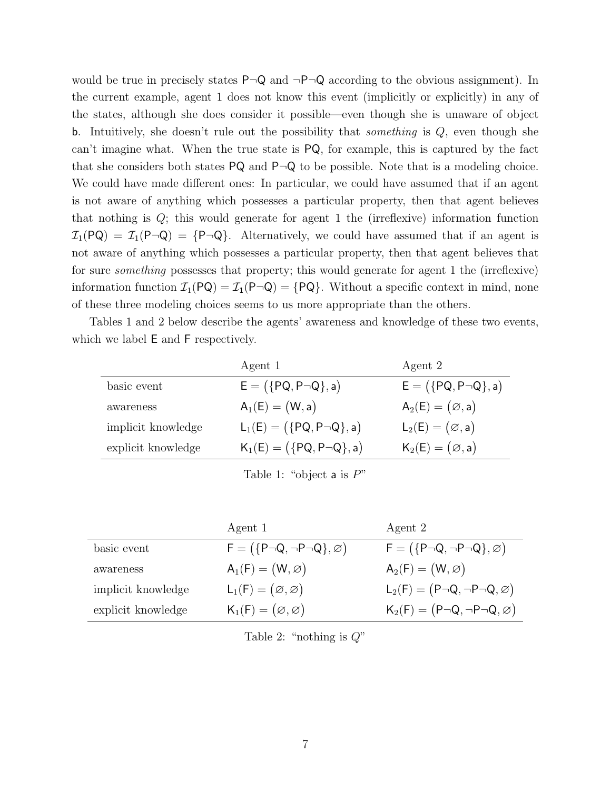would be true in precisely states  $P\neg Q$  and  $\neg P\neg Q$  according to the obvious assignment). In the current example, agent 1 does not know this event (implicitly or explicitly) in any of the states, although she does consider it possible—even though she is unaware of object b. Intuitively, she doesn't rule out the possibility that *something* is  $Q$ , even though she can't imagine what. When the true state is PQ, for example, this is captured by the fact that she considers both states  $PQ$  and  $P\neg Q$  to be possible. Note that is a modeling choice. We could have made different ones: In particular, we could have assumed that if an agent is not aware of anything which possesses a particular property, then that agent believes that nothing is  $Q$ ; this would generate for agent 1 the (irreflexive) information function  $\mathcal{I}_1(PQ) = \mathcal{I}_1(P\cap Q) = \{P\cap Q\}.$  Alternatively, we could have assumed that if an agent is not aware of anything which possesses a particular property, then that agent believes that for sure something possesses that property; this would generate for agent 1 the (irreflexive) information function  $\mathcal{I}_1(PQ) = \mathcal{I}_1(P\neg Q) = \{PQ\}$ . Without a specific context in mind, none of these three modeling choices seems to us more appropriate than the others.

Tables 1 and 2 below describe the agents' awareness and knowledge of these two events, which we label E and F respectively.

| $E = (\{PQ, P\neg Q\}, a)$<br>$E = (\{PQ, P\neg Q\}, a)$<br>basic event            |           | Agent 1           | Agent 2                   |
|------------------------------------------------------------------------------------|-----------|-------------------|---------------------------|
|                                                                                    |           |                   |                           |
|                                                                                    | awareness | $A_1(E) = (W, a)$ | $A_2(E) = (\emptyset, a)$ |
| $L_1(E) = (\{PQ, P\neg Q\}, a)$<br>$L_2(E) = (\emptyset, a)$<br>implicit knowledge |           |                   |                           |
| $K_1(E) = (\{PQ, P\neg Q\}, a)$<br>$K_2(E)=(\emptyset, a)$<br>explicit knowledge   |           |                   |                           |

Table 1: "object a is  $P$ "

|                    | Agent 1                                        | Agent 2                                           |
|--------------------|------------------------------------------------|---------------------------------------------------|
| basic event        | $F = (\{P\neg Q, \neg P\neg Q\}, \varnothing)$ | $F = (\{P\neg Q, \neg P\neg Q\}, \varnothing)$    |
| awareness          | $A_1(F) = (W, \varnothing)$                    | $A_2(F) = (W, \varnothing)$                       |
| implicit knowledge | $L_1(F) = (\emptyset, \emptyset)$              | $L_2(F) = (P \neg Q, \neg P \neg Q, \varnothing)$ |
| explicit knowledge | $K_1(F)=(\emptyset,\emptyset)$                 | $K_2(F) = (P \neg Q, \neg P \neg Q, \varnothing)$ |

Table 2: "nothing is  $Q$ "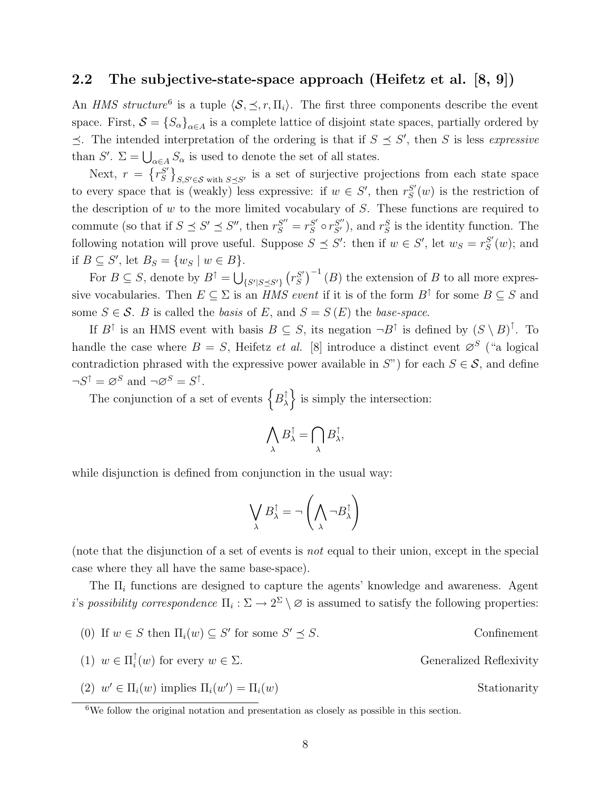### 2.2 The subjective-state-space approach (Heifetz et al. [8, 9])

An *HMS structure*<sup>6</sup> is a tuple  $\langle S, \preceq, r, \Pi_i \rangle$ . The first three components describe the event space. First,  $S = \{S_\alpha\}_{\alpha \in A}$  is a complete lattice of disjoint state spaces, partially ordered by  $\preceq$ . The intended interpretation of the ordering is that if  $S \preceq S'$ , then S is less expressive than S'.  $\Sigma = \bigcup_{\alpha \in A} S_{\alpha}$  is used to denote the set of all states.

Next,  $r = \{r_S^{S'}\}$  $S'$ <sub>S,S'</sub> $\in$ S with  $S\preceq S'$  is a set of surjective projections from each state space to every space that is (weakly) less expressive: if  $w \in S'$ , then  $r_S^{S'}$  $S'(w)$  is the restriction of the description of  $w$  to the more limited vocabulary of  $S$ . These functions are required to commute (so that if  $S \preceq S' \preceq S''$ , then  $r_S^{S''} = r_S^{S'}$  $S'_{S} \circ r_{S'}^{S''}$ , and  $r_{S}^{S}$  is the identity function. The following notation will prove useful. Suppose  $S \preceq S'$ : then if  $w \in S'$ , let  $w_S = r_S^{S'}$  $_{S}^{S'}(w)$ ; and if  $B \subseteq S'$ , let  $B_S = \{w_S \mid w \in B\}$ .

For  $B \subseteq S$ , denote by  $B^{\uparrow} = \bigcup_{\{S'|S \preceq S'\}} \left( r_S^{S'} \right)$  $S'_{S}$ <sup> $-1$ </sup> (*B*) the extension of *B* to all more expressive vocabularies. Then  $E \subseteq \Sigma$  is an *HMS event* if it is of the form  $B^{\uparrow}$  for some  $B \subseteq S$  and some  $S \in \mathcal{S}$ . B is called the basis of E, and  $S = S(E)$  the base-space.

If  $B^{\dagger}$  is an HMS event with basis  $B \subseteq S$ , its negation  $\neg B^{\dagger}$  is defined by  $(S \setminus B)^{\dagger}$ . To handle the case where  $B = S$ , Heifetz *et al.* [8] introduce a distinct event  $\varnothing^S$  ("a logical contradiction phrased with the expressive power available in  $S$ ") for each  $S \in \mathcal{S}$ , and define  $\neg S^{\uparrow} = \varnothing^S$  and  $\neg \varnothing^S = S^{\uparrow}$ .

The conjunction of a set of events  $\{B_\lambda^{\dagger}\}$  $\left\{\lambda\right\}$  is simply the intersection:

$$
\bigwedge_{\lambda}B_{\lambda}^{\uparrow}=\bigcap_{\lambda}B_{\lambda}^{\uparrow},
$$

while disjunction is defined from conjunction in the usual way:

$$
\bigvee_{\lambda} B_{\lambda}^{\dagger} = \neg \left( \bigwedge_{\lambda} \neg B_{\lambda}^{\dagger} \right)
$$

(note that the disjunction of a set of events is not equal to their union, except in the special case where they all have the same base-space).

The  $\Pi_i$  functions are designed to capture the agents' knowledge and awareness. Agent i's possibility correspondence  $\Pi_i : \Sigma \to 2^{\Sigma} \setminus \emptyset$  is assumed to satisfy the following properties:

(0) If  $w \in S$  then  $\Pi_i(w) \subseteq S'$  for some S  $(1) \, w \in \Pi_i^{\uparrow}$ i Generalized Reflexivity (2)  $w' \in \Pi_i(w)$  implies  $\Pi_i(w')$ Stationarity

Confinement

 $6$ We follow the original notation and presentation as closely as possible in this section.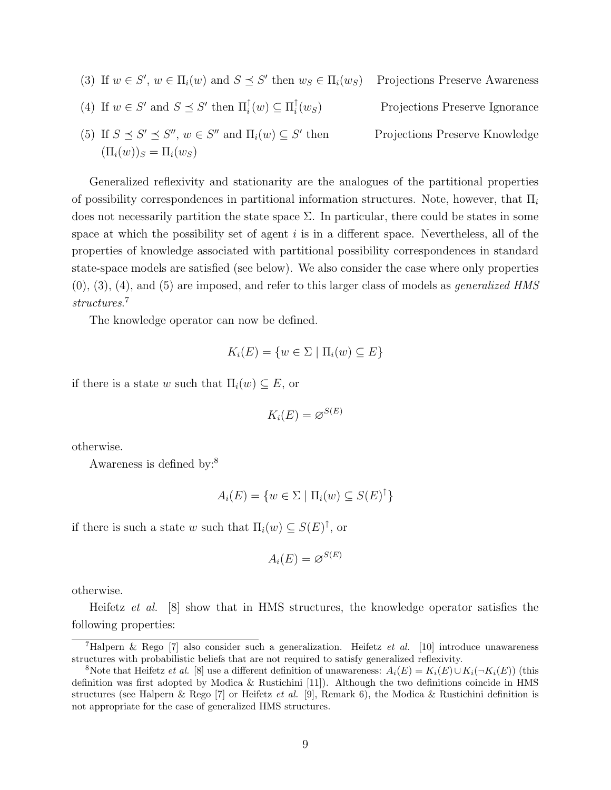(3) If  $w \in S'$ ,  $w \in \Pi_i(w)$  and  $S \preceq S'$ Projections Preserve Awareness (4) If  $w \in S'$  and  $S \preceq S'$  then  $\Pi_i^{\uparrow}(w) \subseteq \Pi_i^{\uparrow}$ i Projections Preserve Ignorance (5) If  $S \preceq S' \preceq S''$ ,  $w \in S''$  and  $\Pi_i(w) \subseteq S'$ Projections Preserve Knowledge  $(\Pi_i(w))_S = \Pi_i(w_S)$ 

Generalized reflexivity and stationarity are the analogues of the partitional properties of possibility correspondences in partitional information structures. Note, however, that  $\Pi_i$ does not necessarily partition the state space  $\Sigma$ . In particular, there could be states in some space at which the possibility set of agent  $i$  is in a different space. Nevertheless, all of the properties of knowledge associated with partitional possibility correspondences in standard state-space models are satisfied (see below). We also consider the case where only properties  $(0), (3), (4),$  and  $(5)$  are imposed, and refer to this larger class of models as *generalized HMS* structures. 7

The knowledge operator can now be defined.

$$
K_i(E) = \{ w \in \Sigma \mid \Pi_i(w) \subseteq E \}
$$

if there is a state w such that  $\Pi_i(w) \subseteq E$ , or

 $K_i(E) = \varnothing^{S(E)}$ 

otherwise.

Awareness is defined by:<sup>8</sup>

$$
A_i(E) = \{ w \in \Sigma \mid \Pi_i(w) \subseteq S(E)^\dagger \}
$$

if there is such a state w such that  $\Pi_i(w) \subseteq S(E)^{\uparrow}$ , or

$$
A_i(E) = \varnothing^{S(E)}
$$

otherwise.

Heifetz et al. [8] show that in HMS structures, the knowledge operator satisfies the following properties:

<sup>&</sup>lt;sup>7</sup>Halpern & Rego [7] also consider such a generalization. Heifetz et al. [10] introduce unawareness structures with probabilistic beliefs that are not required to satisfy generalized reflexivity.

<sup>&</sup>lt;sup>8</sup>Note that Heifetz *et al.* [8] use a different definition of unawareness:  $A_i(E) = K_i(E) \cup K_i(\neg K_i(E))$  (this definition was first adopted by Modica & Rustichini [11]). Although the two definitions coincide in HMS structures (see Halpern & Rego [7] or Heifetz et al. [9], Remark 6), the Modica & Rustichini definition is not appropriate for the case of generalized HMS structures.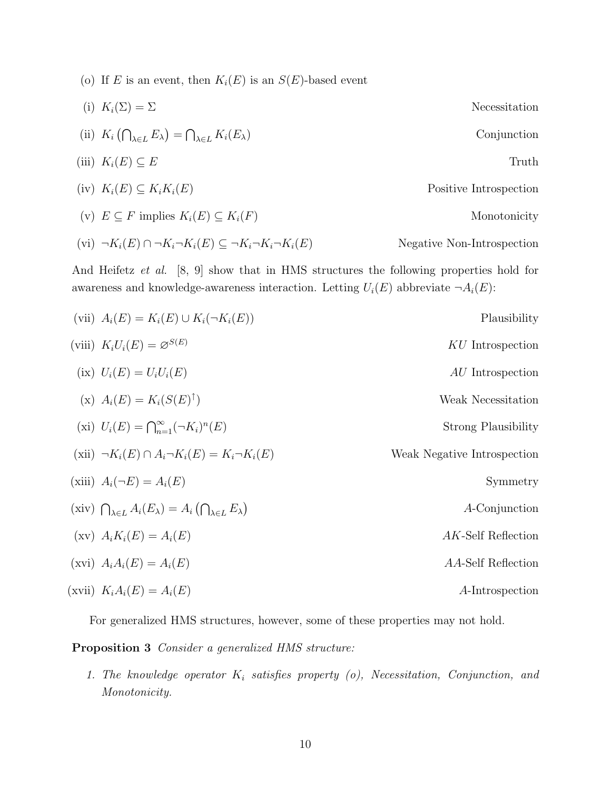(o) If E is an event, then  $K_i(E)$  is an  $S(E)$ -based event

(i) 
$$
K_i(\Sigma) = \Sigma
$$
  
\n(ii)  $K_i(\bigcap_{\lambda \in L} E_{\lambda}) = \bigcap_{\lambda \in L} K_i(E_{\lambda})$   
\n(iii)  $K_i(E) \subseteq E$   
\n(iiii)  $K_i(E) \subseteq K_iK_i(E)$   
\n(iv)  $K_i(E) \subseteq K_iK_i(E)$   
\n(v)  $E \subseteq F$  implies  $K_i(E) \subseteq K_i(F)$   
\nNonotonicity

$$
(vi) \ \neg K_i(E) \cap \neg K_i \neg K_i(E) \subseteq \neg K_i \neg K_i \neg K_i(E) \qquad \text{Negative Non-Introspection}
$$

And Heifetz et al. [8, 9] show that in HMS structures the following properties hold for awareness and knowledge-awareness interaction. Letting  $U_i(E)$  abbreviate  $\neg A_i(E)$ :

| Plausibility                | (vii) $A_i(E) = K_i(E) \cup K_i(\neg K_i(E))$                                                         |  |
|-----------------------------|-------------------------------------------------------------------------------------------------------|--|
| KU Introspection            | (viii) $K_iU_i(E) = \varnothing^{S(E)}$                                                               |  |
| <i>AU</i> Introspection     | (ix) $U_i(E) = U_i U_i(E)$                                                                            |  |
| Weak Necessitation          | (x) $A_i(E) = K_i(S(E)^{\uparrow})$                                                                   |  |
| Strong Plausibility         | (xi) $U_i(E) = \bigcap_{n=1}^{\infty} (\neg K_i)^n(E)$                                                |  |
| Weak Negative Introspection | $(xii) \neg K_i(E) \cap A_i \neg K_i(E) = K_i \neg K_i(E)$                                            |  |
| Symmetry                    | (xiii) $A_i(\neg E) = A_i(E)$                                                                         |  |
| A-Conjunction               | (xiv) $\bigcap_{\lambda \in L} A_i(E_\lambda) = A_i \left( \bigcap_{\lambda \in L} E_\lambda \right)$ |  |
| AK-Self Reflection          | $f(xv)$ $A_iK_i(E) = A_i(E)$                                                                          |  |
| AA-Self Reflection          | $(xvi)$ $A_iA_i(E) = A_i(E)$                                                                          |  |
| A-Introspection             | (xvii) $K_iA_i(E) = A_i(E)$                                                                           |  |

For generalized HMS structures, however, some of these properties may not hold.

Proposition 3 Consider a generalized HMS structure:

1. The knowledge operator  $K_i$  satisfies property (o), Necessitation, Conjunction, and Monotonicity.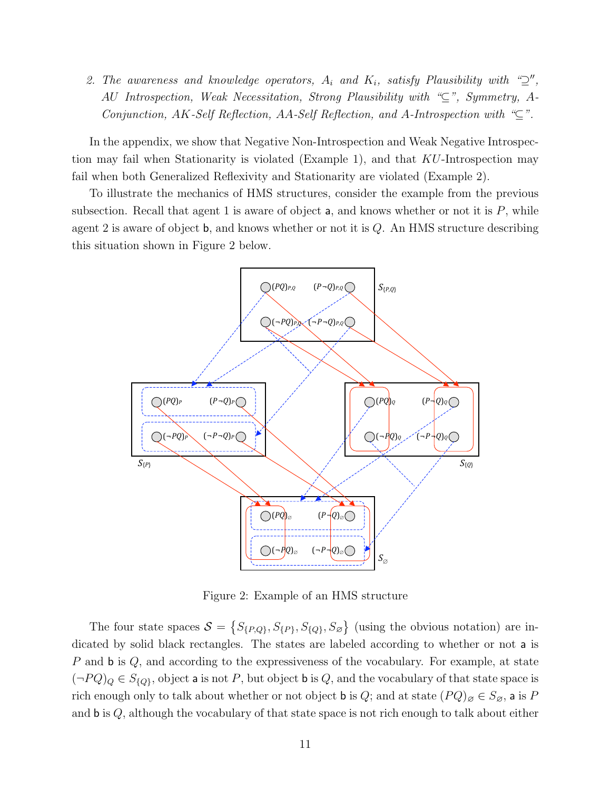2. The awareness and knowledge operators,  $A_i$  and  $K_i$ , satisfy Plausibility with " $\supseteq$ ", AU Introspection, Weak Necessitation, Strong Plausibility with "⊆", Symmetry, A-Conjunction, AK-Self Reflection, AA-Self Reflection, and A-Introspection with " $\subseteq$ ".

In the appendix, we show that Negative Non-Introspection and Weak Negative Introspection may fail when Stationarity is violated (Example 1), and that KU-Introspection may fail when both Generalized Reflexivity and Stationarity are violated (Example 2).

To illustrate the mechanics of HMS structures, consider the example from the previous subsection. Recall that agent 1 is aware of object  $a$ , and knows whether or not it is  $P$ , while agent 2 is aware of object  $\mathbf{b}$ , and knows whether or not it is  $Q$ . An HMS structure describing this situation shown in Figure 2 below.



Figure 2: Example of an HMS structure

The four state spaces  $S = \{S_{\{P,Q\}}, S_{\{P\}}, S_{\{Q\}}, S_{\emptyset}\}\$  (using the obvious notation) are indicated by solid black rectangles. The states are labeled according to whether or not a is P and  $\mathbf b$  is Q, and according to the expressiveness of the vocabulary. For example, at state  $(\neg PQ)_Q \in S_{\{Q\}}$ , object a is not P, but object b is Q, and the vocabulary of that state space is rich enough only to talk about whether or not object **b** is Q; and at state  $(PQ)_{\emptyset} \in S_{\emptyset}$ , a is P and  $\mathbf{b}$  is  $Q$ , although the vocabulary of that state space is not rich enough to talk about either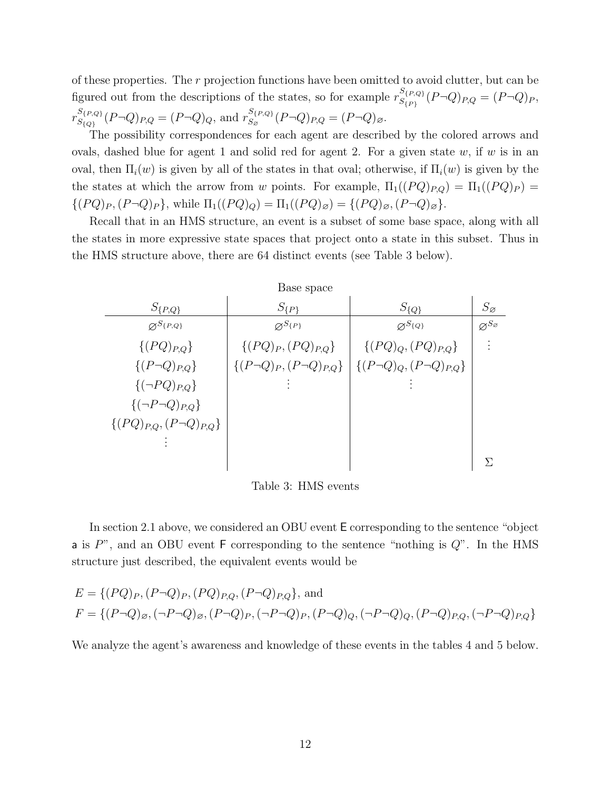of these properties. The r projection functions have been omitted to avoid clutter, but can be figured out from the descriptions of the states, so for example  $r_{S(p)}^{S(p,Q)}$  $S_{\{P\}}^{Q\{P,Q\}}(P\neg Q)_{P,Q} = (P\neg Q)_P,$  $r_{S(\alpha)}^{S_{\{P,Q\}}}$  $S_{\{P,Q\}}^{S_{\{P,Q\}}}(P \neg Q)_{P,Q} = (P \neg Q)_{Q}$ , and  $r_{S_{\varnothing}}^{S_{\{P,Q\}}}$  $S_{S_{\varnothing}}^{S\{P,Q\}}(P\lnot Q)_{P,Q} = (P\lnot Q)_{\varnothing}.$ 

The possibility correspondences for each agent are described by the colored arrows and ovals, dashed blue for agent 1 and solid red for agent 2. For a given state  $w$ , if  $w$  is in an oval, then  $\Pi_i(w)$  is given by all of the states in that oval; otherwise, if  $\Pi_i(w)$  is given by the the states at which the arrow from w points. For example,  $\Pi_1((PQ)_{P,Q}) = \Pi_1((PQ)_P) =$  $\{(PQ)_P,(P\neg Q)_P\}$ , while  $\Pi_1((PQ)_Q) = \Pi_1((PQ)_{\emptyset}) = \{(PQ)_{\emptyset}, (P\neg Q)_{\emptyset}\}.$ 

Recall that in an HMS structure, an event is a subset of some base space, along with all the states in more expressive state spaces that project onto a state in this subset. Thus in the HMS structure above, there are 64 distinct events (see Table 3 below).

| Base space                         |                           |                                                                          |                                 |
|------------------------------------|---------------------------|--------------------------------------------------------------------------|---------------------------------|
| $S_{\{P,Q\}}$                      | $S_{\{P\}}$               | $S_{\{Q\}}$                                                              | $S_{\varnothing}$               |
| $\varnothing^{S_{\{P,Q\}}}$        | $\varnothing^{S_{\{P\}}}$ | $\varnothing^{S_{\{Q\}}}$                                                | $\varnothing^{S_{\varnothing}}$ |
| $\{(PQ)_{P,Q}\}\$                  | $\{(PQ)_P,(PQ)_{P,Q}\}\$  | $\{(PQ)_Q, (PQ)_{P,Q}\}\$                                                |                                 |
| $\{(P\neg Q)_{P,Q}\}\$             |                           | $\{(P\neg Q)_P, (P\neg Q)_{P,Q}\}\mid \{(P\neg Q)_Q, (P\neg Q)_{P,Q}\}\$ |                                 |
| $\{(\neg PQ)_{P,Q}\}\$             |                           |                                                                          |                                 |
| ${(\neg P\neg Q)_{P,Q}}$           |                           |                                                                          |                                 |
| $\{(PQ)_{P,Q}, (P\neg Q)_{P,Q}\}\$ |                           |                                                                          |                                 |
|                                    |                           |                                                                          |                                 |
|                                    |                           |                                                                          | Л                               |

Table 3: HMS events

In section 2.1 above, we considered an OBU event E corresponding to the sentence "object a is  $P^{\prime\prime}$ , and an OBU event F corresponding to the sentence "nothing is  $Q^{\prime\prime}$ . In the HMS structure just described, the equivalent events would be

$$
E = \{(PQ)_P, (P\neg Q)_P, (PQ)_P, (P\neg Q)_P, (P\neg Q)_P, \text{ and}
$$
  

$$
F = \{(P\neg Q)_{\emptyset}, (\neg P\neg Q)_{\emptyset}, (P\neg Q)_P, (\neg P\neg Q)_P, (P\neg Q)_Q, (\neg P\neg Q)_Q, (P\neg Q)_P, (\neg P\neg Q)_P, (P\neg Q)_P, (P\neg Q)_P, (P\neg Q)_P, (P\neg Q)_P, (P\neg Q)_P, (P\neg Q)_P, (P\neg Q)_P, (P\neg Q)_P, (P\neg Q)_P, (P\neg Q)_P, (P\neg Q)_P, (P\neg Q)_P, (P\neg Q)_P, (P\neg Q)_P, (P\neg Q)_P, (P\neg Q)_P, (P\neg Q)_P, (P\neg Q)_P, (P\neg Q)_P, (P\neg Q)_P, (P\neg Q)_P, (P\neg Q)_P, (P\neg Q)_P, (P\neg Q)_P, (P\neg Q)_P, (P\neg Q)_P, (P\neg Q)_P, (P\neg Q)_P, (P\neg Q)_P, (P\neg Q)_P, (P\neg Q)_P, (P\neg Q)_P, (P\neg Q)_P, (P\neg Q)_P, (P\neg Q)_P, (P\neg Q)_P, (P\neg Q)_P, (P\neg Q)_P, (P\neg Q)_P, (P\neg Q)_P, (P\neg Q)_P, (P\neg Q)_P, (P\neg Q)_P, (P\neg Q)_P, (P\neg Q)_P, (P\neg Q)_P, (P\neg Q)_P, (P\neg Q)_P, (P\neg Q)_P, (P\neg Q)_P, (P\neg Q)_P, (P\neg Q)_P, (P\neg Q)_P, (P\neg Q)_P, (P\neg Q)_P, (P\neg Q)_P, (P\neg Q)_P, (P\neg Q)_P, (P\neg Q)_P, (P\neg Q)_P, (P\neg Q)_P, (P\neg Q)_P, (P\neg Q)_P, (P\neg Q)_P, (P\neg Q)_P, (P\neg Q)_P, (P\neg Q)_P, (P\neg Q)_P, (P\neg Q)_P, (P\neg Q)_P, (P\neg Q)_P, (P\neg Q)_P, (P\neg Q)_P, (P\neg Q)_P, (P\neg Q)_P, (P\neg Q)_P, (P\neg Q)_P, (P\neg Q)_P, (P\neg Q
$$

We analyze the agent's awareness and knowledge of these events in the tables 4 and 5 below.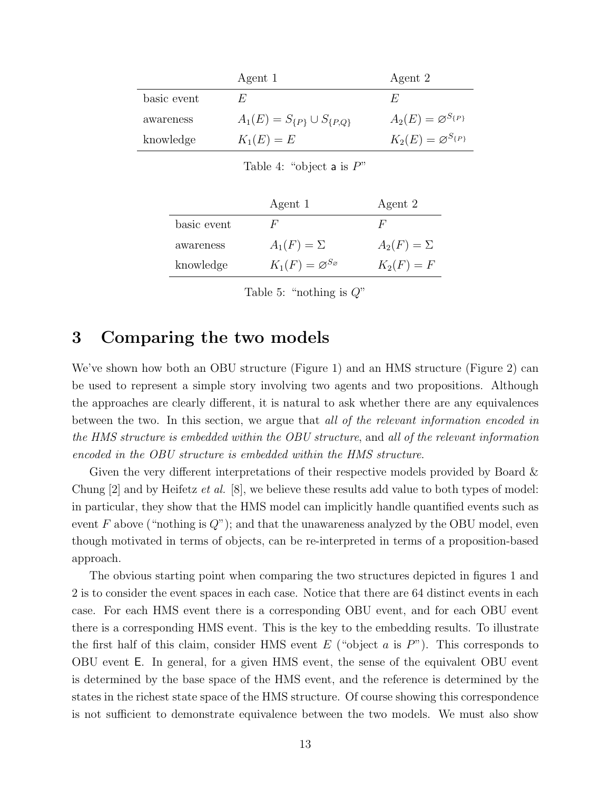|             | Agent 1                               | Agent 2                            |
|-------------|---------------------------------------|------------------------------------|
| basic event | H.                                    | $H_r^r$                            |
| awareness   | $A_1(E) = S_{\{P\}} \cup S_{\{P,Q\}}$ | $A_2(E) = \varnothing^{S_{\{P\}}}$ |
| knowledge   | $K_1(E) = E$                          | $K_2(E) = \varnothing^{S_{\{P\}}}$ |

Table 4: "object a is  $P$ "

|             | Agent 1                                  | Agent 2           |
|-------------|------------------------------------------|-------------------|
| basic event | H'                                       | H'                |
| awareness   | $A_1(F) = \Sigma$                        | $A_2(F) = \Sigma$ |
| knowledge   | $K_1(F) = \varnothing^{S_{\varnothing}}$ | $K_2(F) = F$      |

Table 5: "nothing is  $Q$ "

# 3 Comparing the two models

We've shown how both an OBU structure (Figure 1) and an HMS structure (Figure 2) can be used to represent a simple story involving two agents and two propositions. Although the approaches are clearly different, it is natural to ask whether there are any equivalences between the two. In this section, we argue that all of the relevant information encoded in the HMS structure is embedded within the OBU structure, and all of the relevant information encoded in the OBU structure is embedded within the HMS structure.

Given the very different interpretations of their respective models provided by Board & Chung  $[2]$  and by Heifetz *et al.*  $[8]$ , we believe these results add value to both types of model: in particular, they show that the HMS model can implicitly handle quantified events such as event F above ("nothing is  $Q$ "); and that the unawareness analyzed by the OBU model, even though motivated in terms of objects, can be re-interpreted in terms of a proposition-based approach.

The obvious starting point when comparing the two structures depicted in figures 1 and 2 is to consider the event spaces in each case. Notice that there are 64 distinct events in each case. For each HMS event there is a corresponding OBU event, and for each OBU event there is a corresponding HMS event. This is the key to the embedding results. To illustrate the first half of this claim, consider HMS event  $E$  ("object  $a$  is  $P$ "). This corresponds to OBU event E. In general, for a given HMS event, the sense of the equivalent OBU event is determined by the base space of the HMS event, and the reference is determined by the states in the richest state space of the HMS structure. Of course showing this correspondence is not sufficient to demonstrate equivalence between the two models. We must also show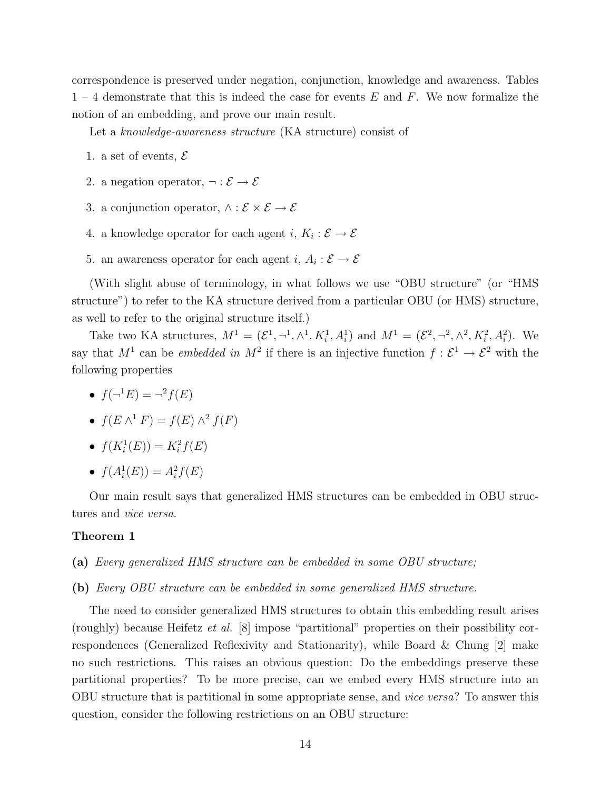correspondence is preserved under negation, conjunction, knowledge and awareness. Tables  $1 - 4$  demonstrate that this is indeed the case for events E and F. We now formalize the notion of an embedding, and prove our main result.

Let a knowledge-awareness structure (KA structure) consist of

- 1. a set of events,  $\mathcal E$
- 2. a negation operator,  $\neg : \mathcal{E} \to \mathcal{E}$
- 3. a conjunction operator,  $\wedge : \mathcal{E} \times \mathcal{E} \rightarrow \mathcal{E}$
- 4. a knowledge operator for each agent  $i, K_i : \mathcal{E} \to \mathcal{E}$
- 5. an awareness operator for each agent  $i, A_i : \mathcal{E} \to \mathcal{E}$

(With slight abuse of terminology, in what follows we use "OBU structure" (or "HMS structure") to refer to the KA structure derived from a particular OBU (or HMS) structure, as well to refer to the original structure itself.)

Take two KA structures,  $M^1 = (\mathcal{E}^1, \neg^1, \wedge^1, K_i^1, A_i^1)$  and  $M^1 = (\mathcal{E}^2, \neg^2, \wedge^2, K_i^2, A_i^2)$ . We say that  $M^1$  can be *embedded in*  $M^2$  if there is an injective function  $f: \mathcal{E}^1 \to \mathcal{E}^2$  with the following properties

- $f(\neg^1 E) = \neg^2 f(E)$
- $f(E \wedge^1 F) = f(E) \wedge^2 f(F)$
- $f(K_i^1(E)) = K_i^2 f(E)$
- $f(A_i^1(E)) = A_i^2 f(E)$

Our main result says that generalized HMS structures can be embedded in OBU structures and vice versa.

#### Theorem 1

- (a) Every generalized HMS structure can be embedded in some OBU structure;
- (b) Every OBU structure can be embedded in some generalized HMS structure.

The need to consider generalized HMS structures to obtain this embedding result arises (roughly) because Heifetz et al. [8] impose "partitional" properties on their possibility correspondences (Generalized Reflexivity and Stationarity), while Board & Chung [2] make no such restrictions. This raises an obvious question: Do the embeddings preserve these partitional properties? To be more precise, can we embed every HMS structure into an OBU structure that is partitional in some appropriate sense, and vice versa? To answer this question, consider the following restrictions on an OBU structure: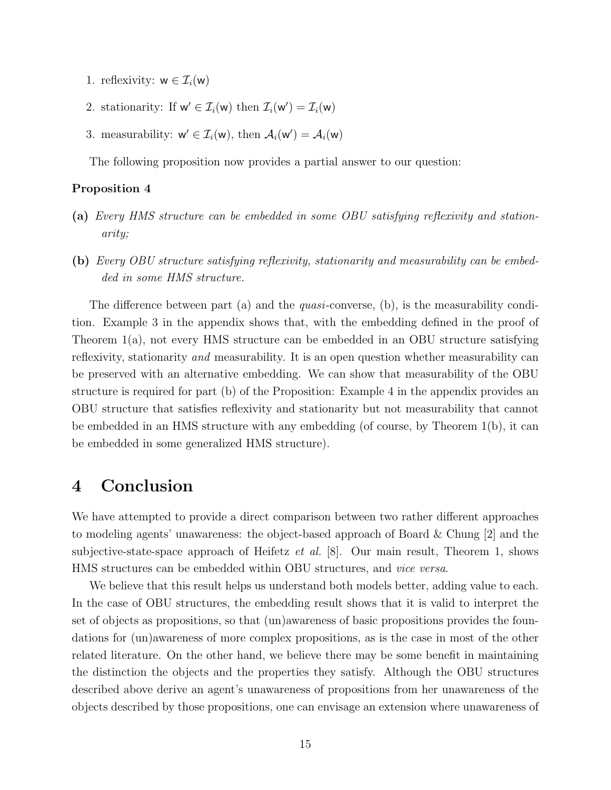- 1. reflexivity:  $w \in \mathcal{I}_i(w)$
- 2. stationarity: If  $w' \in \mathcal{I}_i(w)$  then  $\mathcal{I}_i(w') = \mathcal{I}_i(w)$
- 3. measurability:  $w' \in \mathcal{I}_i(w)$ , then  $\mathcal{A}_i(w') = \mathcal{A}_i(w)$

The following proposition now provides a partial answer to our question:

#### Proposition 4

- (a) Every HMS structure can be embedded in some OBU satisfying reflexivity and stationarity;
- (b) Every OBU structure satisfying reflexivity, stationarity and measurability can be embedded in some HMS structure.

The difference between part (a) and the *quasi*-converse, (b), is the measurability condition. Example 3 in the appendix shows that, with the embedding defined in the proof of Theorem 1(a), not every HMS structure can be embedded in an OBU structure satisfying reflexivity, stationarity and measurability. It is an open question whether measurability can be preserved with an alternative embedding. We can show that measurability of the OBU structure is required for part (b) of the Proposition: Example 4 in the appendix provides an OBU structure that satisfies reflexivity and stationarity but not measurability that cannot be embedded in an HMS structure with any embedding (of course, by Theorem 1(b), it can be embedded in some generalized HMS structure).

# 4 Conclusion

We have attempted to provide a direct comparison between two rather different approaches to modeling agents' unawareness: the object-based approach of Board & Chung [2] and the subjective-state-space approach of Heifetz *et al.* [8]. Our main result, Theorem 1, shows HMS structures can be embedded within OBU structures, and vice versa.

We believe that this result helps us understand both models better, adding value to each. In the case of OBU structures, the embedding result shows that it is valid to interpret the set of objects as propositions, so that (un)awareness of basic propositions provides the foundations for (un)awareness of more complex propositions, as is the case in most of the other related literature. On the other hand, we believe there may be some benefit in maintaining the distinction the objects and the properties they satisfy. Although the OBU structures described above derive an agent's unawareness of propositions from her unawareness of the objects described by those propositions, one can envisage an extension where unawareness of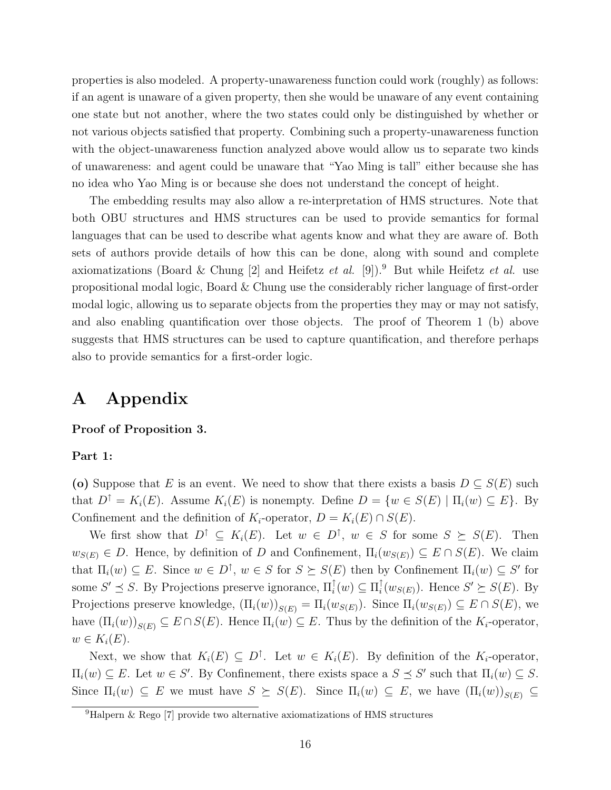properties is also modeled. A property-unawareness function could work (roughly) as follows: if an agent is unaware of a given property, then she would be unaware of any event containing one state but not another, where the two states could only be distinguished by whether or not various objects satisfied that property. Combining such a property-unawareness function with the object-unawareness function analyzed above would allow us to separate two kinds of unawareness: and agent could be unaware that "Yao Ming is tall" either because she has no idea who Yao Ming is or because she does not understand the concept of height.

The embedding results may also allow a re-interpretation of HMS structures. Note that both OBU structures and HMS structures can be used to provide semantics for formal languages that can be used to describe what agents know and what they are aware of. Both sets of authors provide details of how this can be done, along with sound and complete axiomatizations (Board & Chung [2] and Heifetz et al. [9]).<sup>9</sup> But while Heifetz et al. use propositional modal logic, Board & Chung use the considerably richer language of first-order modal logic, allowing us to separate objects from the properties they may or may not satisfy, and also enabling quantification over those objects. The proof of Theorem 1 (b) above suggests that HMS structures can be used to capture quantification, and therefore perhaps also to provide semantics for a first-order logic.

# A Appendix

#### Proof of Proposition 3.

### Part 1:

(o) Suppose that E is an event. We need to show that there exists a basis  $D \subseteq S(E)$  such that  $D^{\uparrow} = K_i(E)$ . Assume  $K_i(E)$  is nonempty. Define  $D = \{w \in S(E) \mid \Pi_i(w) \subseteq E\}$ . By Confinement and the definition of  $K_i$ -operator,  $D = K_i(E) \cap S(E)$ .

We first show that  $D^{\uparrow} \subseteq K_i(E)$ . Let  $w \in D^{\uparrow}$ ,  $w \in S$  for some  $S \succeq S(E)$ . Then  $w_{S(E)} \in D$ . Hence, by definition of D and Confinement,  $\Pi_i(w_{S(E)}) \subseteq E \cap S(E)$ . We claim that  $\Pi_i(w) \subseteq E$ . Since  $w \in D^{\uparrow}$ ,  $w \in S$  for  $S \succeq S(E)$  then by Confinement  $\Pi_i(w) \subseteq S'$  for some  $S' \preceq S$ . By Projections preserve ignorance,  $\Pi_i^{\uparrow}(w) \subseteq \Pi_i^{\uparrow}$  $i(w_{S(E)})$ . Hence  $S' \succeq S(E)$ . By Projections preserve knowledge,  $(\Pi_i(w))_{S(E)} = \Pi_i(w_{S(E)})$ . Since  $\Pi_i(w_{S(E)}) \subseteq E \cap S(E)$ , we have  $(\Pi_i(w))_{S(E)} \subseteq E \cap S(E)$ . Hence  $\Pi_i(w) \subseteq E$ . Thus by the definition of the  $K_i$ -operator,  $w \in K_i(E)$ .

Next, we show that  $K_i(E) \subseteq D^{\uparrow}$ . Let  $w \in K_i(E)$ . By definition of the  $K_i$ -operator,  $\Pi_i(w) \subseteq E$ . Let  $w \in S'$ . By Confinement, there exists space a  $S \preceq S'$  such that  $\Pi_i(w) \subseteq S$ . Since  $\Pi_i(w) \subseteq E$  we must have  $S \succeq S(E)$ . Since  $\Pi_i(w) \subseteq E$ , we have  $(\Pi_i(w))_{S(E)} \subseteq E$ 

<sup>9</sup>Halpern & Rego [7] provide two alternative axiomatizations of HMS structures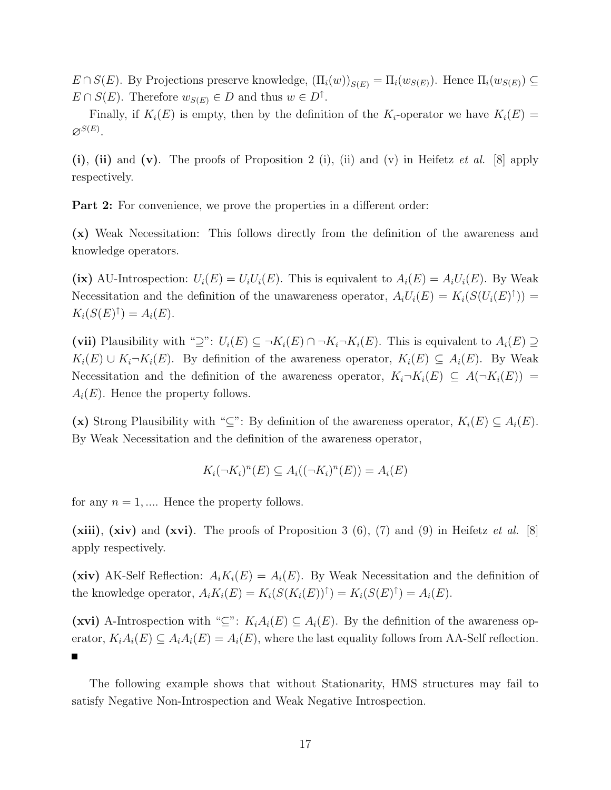$E \cap S(E)$ . By Projections preserve knowledge,  $(\Pi_i(w))_{S(E)} = \Pi_i(w_{S(E)})$ . Hence  $\Pi_i(w_{S(E)}) \subseteq$  $E \cap S(E)$ . Therefore  $w_{S(E)} \in D$  and thus  $w \in D^{\uparrow}$ .

Finally, if  $K_i(E)$  is empty, then by the definition of the  $K_i$ -operator we have  $K_i(E)$  =  $\varnothing^{S(E)}.$ 

(i), (ii) and (v). The proofs of Proposition 2 (i), (ii) and (v) in Heifetz et al. [8] apply respectively.

**Part 2:** For convenience, we prove the properties in a different order:

(x) Weak Necessitation: This follows directly from the definition of the awareness and knowledge operators.

(ix) AU-Introspection:  $U_i(E) = U_i U_i(E)$ . This is equivalent to  $A_i(E) = A_i U_i(E)$ . By Weak Necessitation and the definition of the unawareness operator,  $A_i U_i(E) = K_i(S(U_i(E)^{\dagger}))$  $K_i(S(E)^{\uparrow}) = A_i(E).$ 

(vii) Plausibility with "⊇":  $U_i(E) \subseteq \neg K_i(E) \cap \neg K_i \neg K_i(E)$ . This is equivalent to  $A_i(E) \supseteq$  $K_i(E) \cup K_i \neg K_i(E)$ . By definition of the awareness operator,  $K_i(E) \subseteq A_i(E)$ . By Weak Necessitation and the definition of the awareness operator,  $K_i\neg K_i(E) \subseteq A(\neg K_i(E))$  =  $A_i(E)$ . Hence the property follows.

(x) Strong Plausibility with "⊆": By definition of the awareness operator,  $K_i(E) \subseteq A_i(E)$ . By Weak Necessitation and the definition of the awareness operator,

$$
K_i(\neg K_i)^n(E) \subseteq A_i((\neg K_i)^n(E)) = A_i(E)
$$

for any  $n = 1, \dots$  Hence the property follows.

(xiii), (xiv) and (xvi). The proofs of Proposition 3  $(6)$ ,  $(7)$  and  $(9)$  in Heifetz *et al.* [8] apply respectively.

(xiv) AK-Self Reflection:  $A_i K_i(E) = A_i(E)$ . By Weak Necessitation and the definition of the knowledge operator,  $A_i K_i(E) = K_i(S(K_i(E))^{\uparrow}) = K_i(S(E)^{\uparrow}) = A_i(E)$ .

(xvi) A-Introspection with "⊆":  $K_iA_i(E) \subseteq A_i(E)$ . By the definition of the awareness operator,  $K_iA_i(E) \subseteq A_iA_i(E) = A_i(E)$ , where the last equality follows from AA-Self reflection. П

The following example shows that without Stationarity, HMS structures may fail to satisfy Negative Non-Introspection and Weak Negative Introspection.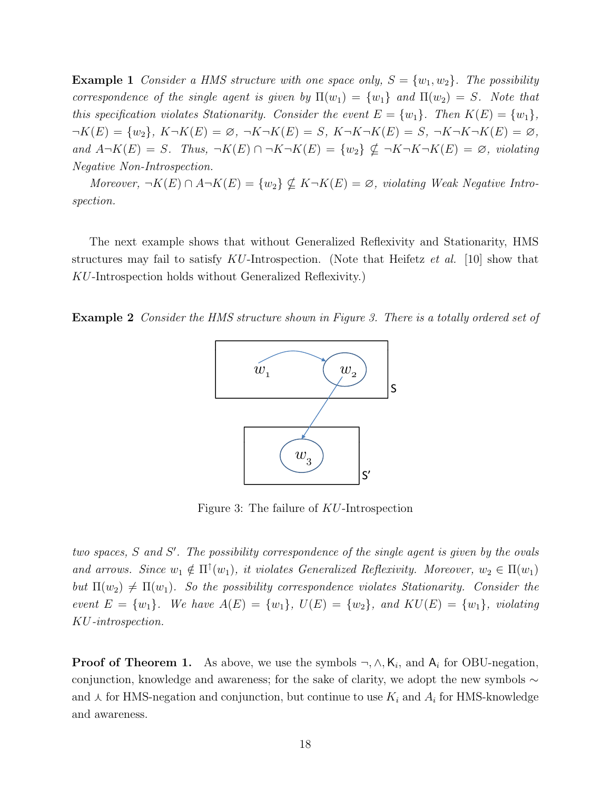**Example 1** Consider a HMS structure with one space only,  $S = \{w_1, w_2\}$ . The possibility correspondence of the single agent is given by  $\Pi(w_1) = \{w_1\}$  and  $\Pi(w_2) = S$ . Note that this specification violates Stationarity. Consider the event  $E = \{w_1\}$ . Then  $K(E) = \{w_1\}$ ,  $\neg K(E) = \{w_2\}, K\neg K(E) = \emptyset, \ \neg K\neg K(E) = S, K\neg K\neg K(E) = S, \ \neg K\neg K\neg K(E) = \emptyset,$ and  $A\neg K(E) = S$ . Thus,  $\neg K(E) \cap \neg K \neg K(E) = \{w_2\} \nsubseteq \neg K \neg K \neg K(E) = \emptyset$ , violating Negative Non-Introspection.

Moreover,  $\neg K(E) \cap A \neg K(E) = \{w_2\} \nsubseteq K \neg K(E) = \emptyset$ , violating Weak Negative Introspection.

The next example shows that without Generalized Reflexivity and Stationarity, HMS structures may fail to satisfy  $KU$ -Introspection. (Note that Heifetz *et al.* [10] show that KU-Introspection holds without Generalized Reflexivity.)

Example 2 Consider the HMS structure shown in Figure 3. There is a totally ordered set of



Figure 3: The failure of KU-Introspection

two spaces,  $S$  and  $S'$ . The possibility correspondence of the single agent is given by the ovals and arrows. Since  $w_1 \notin \Pi^{\uparrow}(w_1)$ , it violates Generalized Reflexivity. Moreover,  $w_2 \in \Pi(w_1)$ but  $\Pi(w_2) \neq \Pi(w_1)$ . So the possibility correspondence violates Stationarity. Consider the event  $E = \{w_1\}$ . We have  $A(E) = \{w_1\}$ ,  $U(E) = \{w_2\}$ , and  $KU(E) = \{w_1\}$ , violating KU-introspection.

**Proof of Theorem 1.** As above, we use the symbols  $\neg, \wedge, K_i$ , and  $A_i$  for OBU-negation, conjunction, knowledge and awareness; for the sake of clarity, we adopt the new symbols ∼ and  $\lambda$  for HMS-negation and conjunction, but continue to use  $K_i$  and  $A_i$  for HMS-knowledge and awareness.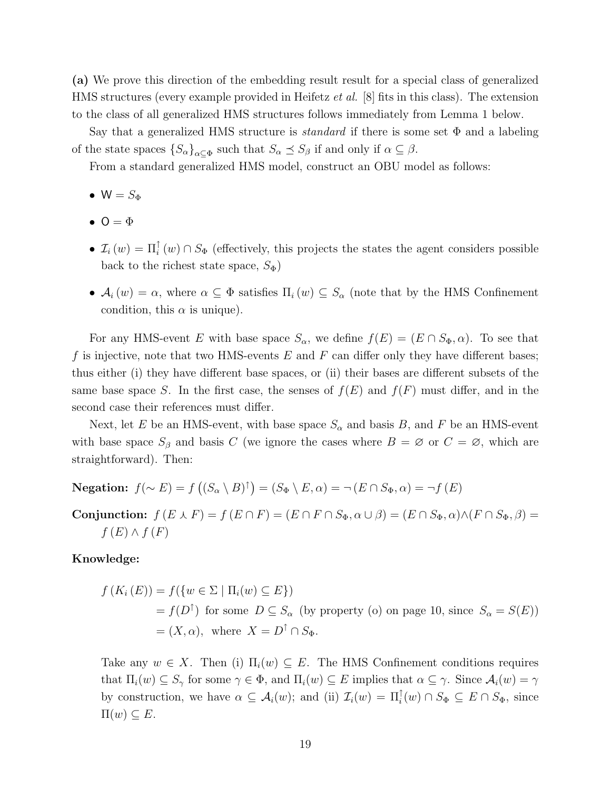(a) We prove this direction of the embedding result result for a special class of generalized HMS structures (every example provided in Heifetz et al. [8] fits in this class). The extension to the class of all generalized HMS structures follows immediately from Lemma 1 below.

Say that a generalized HMS structure is *standard* if there is some set  $\Phi$  and a labeling of the state spaces  $\{S_{\alpha}\}_{{\alpha \subseteq \Phi}}$  such that  $S_{\alpha} \preceq S_{\beta}$  if and only if  $\alpha \subseteq \beta$ .

From a standard generalized HMS model, construct an OBU model as follows:

- $W = S_{\Phi}$
- $\bullet$  O =  $\Phi$
- $\mathcal{I}_i(w) = \Pi_i^{\uparrow}(w) \cap S_{\Phi}$  (effectively, this projects the states the agent considers possible back to the richest state space,  $S_{\Phi}$ )
- $A_i(w) = \alpha$ , where  $\alpha \subseteq \Phi$  satisfies  $\Pi_i(w) \subseteq S_\alpha$  (note that by the HMS Confinement condition, this  $\alpha$  is unique).

For any HMS-event E with base space  $S_{\alpha}$ , we define  $f(E) = (E \cap S_{\Phi}, \alpha)$ . To see that f is injective, note that two HMS-events  $E$  and  $F$  can differ only they have different bases; thus either (i) they have different base spaces, or (ii) their bases are different subsets of the same base space S. In the first case, the senses of  $f(E)$  and  $f(F)$  must differ, and in the second case their references must differ.

Next, let E be an HMS-event, with base space  $S_{\alpha}$  and basis B, and F be an HMS-event with base space  $S_\beta$  and basis C (we ignore the cases where  $B = \emptyset$  or  $C = \emptyset$ , which are straightforward). Then:

**Negation:**  $f(\sim E) = f((S_\alpha \setminus B)^\dagger) = (S_\Phi \setminus E, \alpha) = \neg(E \cap S_\Phi, \alpha) = \neg f(E)$ 

Conjunction:  $f(E \wedge F) = f(E \cap F) = (E \cap F \cap S_{\Phi}, \alpha \cup \beta) = (E \cap S_{\Phi}, \alpha) \wedge (F \cap S_{\Phi}, \beta) =$  $f(E) \wedge f(F)$ 

### Knowledge:

$$
f(K_i(E)) = f(\{w \in \Sigma \mid \Pi_i(w) \subseteq E\})
$$
  
=  $f(D^{\uparrow})$  for some  $D \subseteq S_{\alpha}$  (by property (o) on page 10, since  $S_{\alpha} = S(E)$ )  
=  $(X, \alpha)$ , where  $X = D^{\uparrow} \cap S_{\Phi}$ .

Take any  $w \in X$ . Then (i)  $\Pi_i(w) \subseteq E$ . The HMS Confinement conditions requires that  $\Pi_i(w) \subseteq S_\gamma$  for some  $\gamma \in \Phi$ , and  $\Pi_i(w) \subseteq E$  implies that  $\alpha \subseteq \gamma$ . Since  $\mathcal{A}_i(w) = \gamma$ by construction, we have  $\alpha \subseteq \mathcal{A}_i(w)$ ; and (ii)  $\mathcal{I}_i(w) = \Pi_i^{\uparrow}(w) \cap S_{\Phi} \subseteq E \cap S_{\Phi}$ , since  $\Pi(w) \subseteq E$ .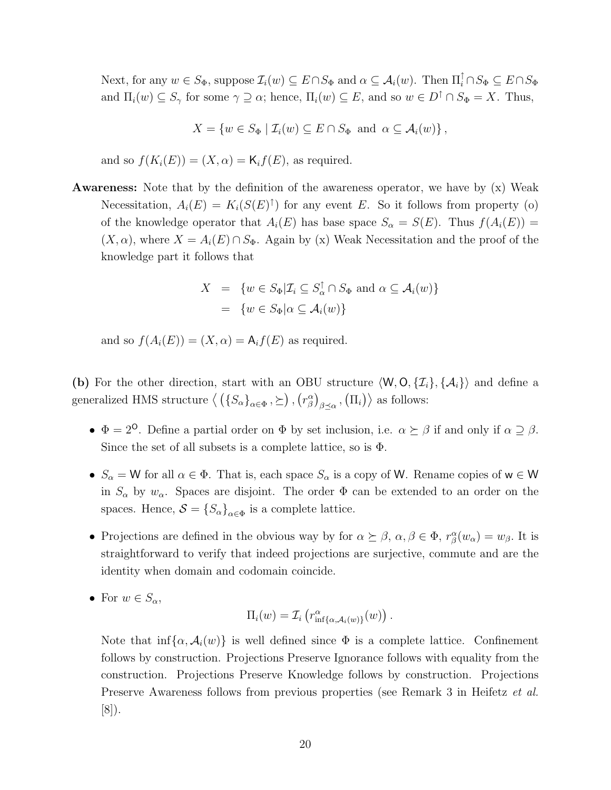Next, for any  $w \in S_{\Phi}$ , suppose  $\mathcal{I}_i(w) \subseteq E \cap S_{\Phi}$  and  $\alpha \subseteq \mathcal{A}_i(w)$ . Then  $\Pi_i^{\uparrow} \cap S_{\Phi} \subseteq E \cap S_{\Phi}$ and  $\Pi_i(w) \subseteq S_\gamma$  for some  $\gamma \supseteq \alpha$ ; hence,  $\Pi_i(w) \subseteq E$ , and so  $w \in D^\uparrow \cap S_\Phi = X$ . Thus,

$$
X = \{ w \in S_{\Phi} \mid \mathcal{I}_i(w) \subseteq E \cap S_{\Phi} \text{ and } \alpha \subseteq \mathcal{A}_i(w) \},
$$

and so  $f(K_i(E)) = (X, \alpha) = \mathsf{K}_i f(E)$ , as required.

Awareness: Note that by the definition of the awareness operator, we have by (x) Weak Necessitation,  $A_i(E) = K_i(S(E)^{\dagger})$  for any event E. So it follows from property (o) of the knowledge operator that  $A_i(E)$  has base space  $S_\alpha = S(E)$ . Thus  $f(A_i(E)) =$  $(X, \alpha)$ , where  $X = A_i(E) \cap S_{\Phi}$ . Again by (x) Weak Necessitation and the proof of the knowledge part it follows that

$$
X = \{ w \in S_{\Phi} | \mathcal{I}_i \subseteq S_{\alpha}^{\uparrow} \cap S_{\Phi} \text{ and } \alpha \subseteq \mathcal{A}_i(w) \}
$$
  
= 
$$
\{ w \in S_{\Phi} | \alpha \subseteq \mathcal{A}_i(w) \}
$$

and so  $f(A_i(E)) = (X, \alpha) = A_i f(E)$  as required.

(b) For the other direction, start with an OBU structure  $\langle W, O, \{I_i\}, \{A_i\}\rangle$  and define a generalized HMS structure  $\langle (\{S_\alpha\}_{\alpha \in \Phi}, \succeq), (r^\alpha_\beta)_{\beta \preceq \alpha}, (\Pi_i) \rangle$  as follows:

- $\Phi = 2^{\circ}$ . Define a partial order on  $\Phi$  by set inclusion, i.e.  $\alpha \succeq \beta$  if and only if  $\alpha \supseteq \beta$ . Since the set of all subsets is a complete lattice, so is  $\Phi$ .
- $S_{\alpha} = W$  for all  $\alpha \in \Phi$ . That is, each space  $S_{\alpha}$  is a copy of W. Rename copies of  $w \in W$ in  $S_\alpha$  by  $w_\alpha$ . Spaces are disjoint. The order  $\Phi$  can be extended to an order on the spaces. Hence,  $S = \{S_{\alpha}\}_{{\alpha \in \Phi}}$  is a complete lattice.
- Projections are defined in the obvious way by for  $\alpha \succeq \beta$ ,  $\alpha, \beta \in \Phi$ ,  $r^{\alpha}_{\beta}(w_{\alpha}) = w_{\beta}$ . It is straightforward to verify that indeed projections are surjective, commute and are the identity when domain and codomain coincide.
- For  $w \in S_\alpha$ ,

$$
\Pi_i(w) = \mathcal{I}_i\left(r_{\inf\{\alpha,\mathcal{A}_i(w)\}}^{\alpha}(w)\right).
$$

Note that  $\inf{\alpha, \mathcal{A}_i(w)}$  is well defined since  $\Phi$  is a complete lattice. Confinement follows by construction. Projections Preserve Ignorance follows with equality from the construction. Projections Preserve Knowledge follows by construction. Projections Preserve Awareness follows from previous properties (see Remark 3 in Heifetz et al. [8]).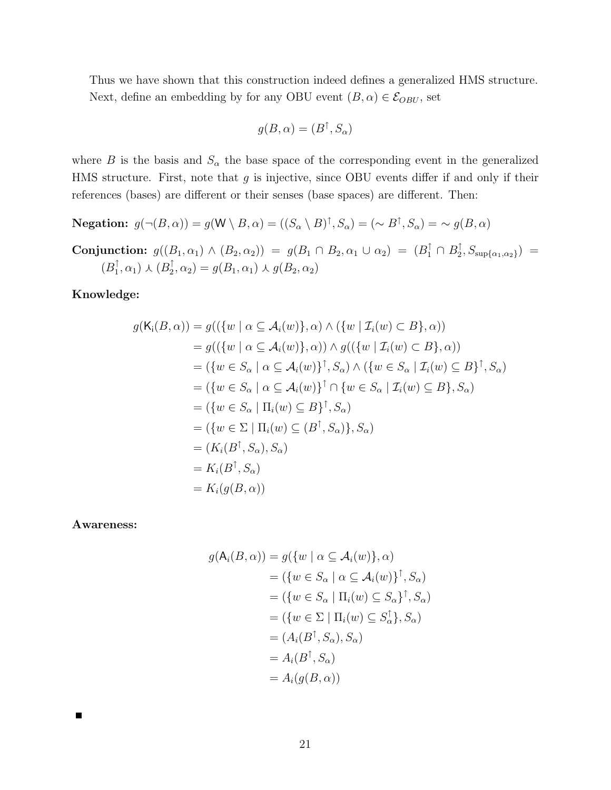Thus we have shown that this construction indeed defines a generalized HMS structure. Next, define an embedding by for any OBU event  $(B, \alpha) \in \mathcal{E}_{OBU}$ , set

$$
g(B,\alpha) = (B^{\uparrow}, S_{\alpha})
$$

where B is the basis and  $S_{\alpha}$  the base space of the corresponding event in the generalized HMS structure. First, note that  $g$  is injective, since OBU events differ if and only if their references (bases) are different or their senses (base spaces) are different. Then:

**Negation:**  $g(\neg(B, \alpha)) = g(\mathsf{W} \setminus B, \alpha) = ((S_{\alpha} \setminus B)^{\uparrow}, S_{\alpha}) = (\sim B^{\uparrow}, S_{\alpha}) = \sim g(B, \alpha)$ 

**Conjunction:** 
$$
g((B_1, \alpha_1) \wedge (B_2, \alpha_2)) = g(B_1 \cap B_2, \alpha_1 \cup \alpha_2) = (B_1^{\uparrow} \cap B_2^{\uparrow}, S_{\sup{\{\alpha_1, \alpha_2\}}}) =
$$
  
\n $(B_1^{\uparrow}, \alpha_1) \wedge (B_2^{\uparrow}, \alpha_2) = g(B_1, \alpha_1) \wedge g(B_2, \alpha_2)$ 

#### Knowledge:

$$
g(K_i(B, \alpha)) = g((\lbrace w \mid \alpha \subseteq A_i(w) \rbrace, \alpha) \land (\lbrace w \mid \mathcal{I}_i(w) \subset B \rbrace, \alpha))
$$
  
\n
$$
= g((\lbrace w \mid \alpha \subseteq A_i(w) \rbrace, \alpha)) \land g((\lbrace w \mid \mathcal{I}_i(w) \subset B \rbrace, \alpha))
$$
  
\n
$$
= (\lbrace w \in S_{\alpha} \mid \alpha \subseteq A_i(w) \rbrace^{\dagger}, S_{\alpha}) \land (\lbrace w \in S_{\alpha} \mid \mathcal{I}_i(w) \subseteq B \rbrace^{\dagger}, S_{\alpha})
$$
  
\n
$$
= (\lbrace w \in S_{\alpha} \mid \alpha \subseteq A_i(w) \rbrace^{\dagger} \cap \lbrace w \in S_{\alpha} \mid \mathcal{I}_i(w) \subseteq B \rbrace, S_{\alpha})
$$
  
\n
$$
= (\lbrace w \in S_{\alpha} \mid \Pi_i(w) \subseteq B \rbrace^{\dagger}, S_{\alpha})
$$
  
\n
$$
= (\lbrace w \in \Sigma \mid \Pi_i(w) \subseteq (B^{\dagger}, S_{\alpha}) \rbrace, S_{\alpha})
$$
  
\n
$$
= (K_i(B^{\dagger}, S_{\alpha}), S_{\alpha})
$$
  
\n
$$
= K_i(g(B, \alpha))
$$

Awareness:

$$
g(A_i(B, \alpha)) = g(\lbrace w \mid \alpha \subseteq A_i(w) \rbrace, \alpha)
$$
  
\n
$$
= (\lbrace w \in S_{\alpha} \mid \alpha \subseteq A_i(w) \rbrace^{\dagger}, S_{\alpha})
$$
  
\n
$$
= (\lbrace w \in S_{\alpha} \mid \Pi_i(w) \subseteq S_{\alpha} \rbrace^{\dagger}, S_{\alpha})
$$
  
\n
$$
= (\lbrace w \in \Sigma \mid \Pi_i(w) \subseteq S_{\alpha}^{\dagger} \rbrace, S_{\alpha})
$$
  
\n
$$
= (A_i(B^{\dagger}, S_{\alpha}), S_{\alpha})
$$
  
\n
$$
= A_i(B^{\dagger}, S_{\alpha})
$$
  
\n
$$
= A_i(g(B, \alpha))
$$

 $\blacksquare$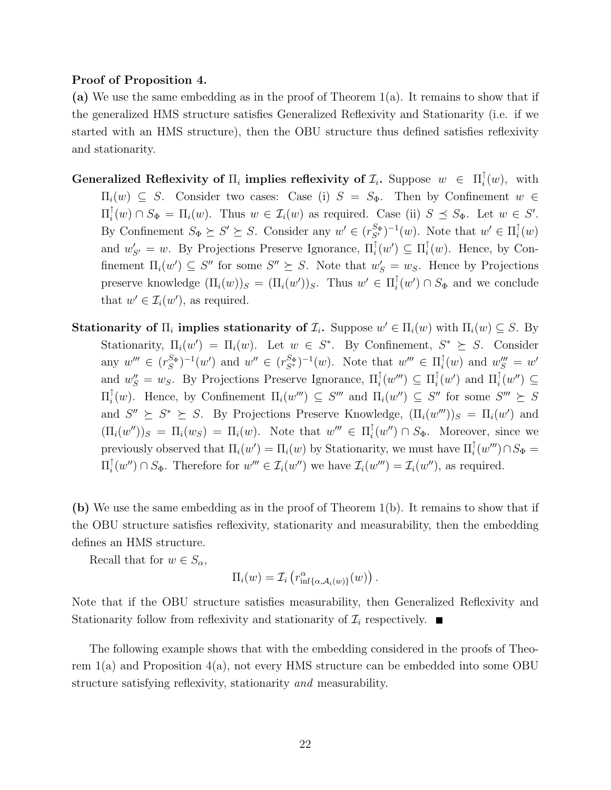#### Proof of Proposition 4.

(a) We use the same embedding as in the proof of Theorem 1(a). It remains to show that if the generalized HMS structure satisfies Generalized Reflexivity and Stationarity (i.e. if we started with an HMS structure), then the OBU structure thus defined satisfies reflexivity and stationarity.

- Generalized Reflexivity of  $\Pi_i$  implies reflexivity of  $\mathcal{I}_i$ . Suppose  $w \in \Pi_i^{\uparrow}$  $\frac{1}{i}(w)$ , with  $\Pi_i(w) \subseteq S$ . Consider two cases: Case (i)  $S = S_{\Phi}$ . Then by Confinement  $w \in$  $\Pi_i^\uparrow$  $\int_i^{\uparrow}(w) \cap S_{\Phi} = \Pi_i(w)$ . Thus  $w \in \mathcal{I}_i(w)$  as required. Case (ii)  $S \preceq S_{\Phi}$ . Let  $w \in S'$ . By Confinement  $S_{\Phi} \succeq S' \succeq S$ . Consider any  $w' \in (r_{S'}^{S_{\Phi}})^{-1}(w)$ . Note that  $w' \in \Pi_i^{\uparrow}$  $\frac{1}{i}(w)$ and  $w'_{S'} = w$ . By Projections Preserve Ignorance,  $\Pi_i^{\uparrow}(w') \subseteq \Pi_i^{\uparrow}$  $i(w)$ . Hence, by Confinement  $\Pi_i(w') \subseteq S''$  for some  $S'' \succeq S$ . Note that  $w'_S = w_S$ . Hence by Projections preserve knowledge  $(\Pi_i(w))_S = (\Pi_i(w'))_S$ . Thus  $w' \in \Pi_i^{\uparrow}$  $\int_i^{\uparrow} (w') \cap S_{\Phi}$  and we conclude that  $w' \in \mathcal{I}_i(w')$ , as required.
- Stationarity of  $\Pi_i$  implies stationarity of  $\mathcal{I}_i$ . Suppose  $w' \in \Pi_i(w)$  with  $\Pi_i(w) \subseteq S$ . By Stationarity,  $\Pi_i(w') = \Pi_i(w)$ . Let  $w \in S^*$ . By Confinement,  $S^* \succeq S$ . Consider any  $w''' \in (r_S^{S_\Phi})^{-1}(w')$  and  $w'' \in (r_{S^*}^{S_\Phi})^{-1}(w)$ . Note that  $w''' \in \Pi_i^{\uparrow}$  $i(w)$  and  $w''_S = w'$ and  $w''_S = w_S$ . By Projections Preserve Ignorance,  $\Pi_i^{\uparrow}(w''') \subseteq \Pi_i^{\uparrow}$  $\int_i^{\uparrow} (w')$  and  $\Pi_i^{\uparrow}(w'') \subseteq$  $\Pi_i^{\uparrow}$  $\int_i^{\uparrow}(w)$ . Hence, by Confinement  $\Pi_i(w''') \subseteq S'''$  and  $\Pi_i(w'') \subseteq S''$  for some  $S''' \succeq S$ and  $S'' \succeq S^* \succeq S$ . By Projections Preserve Knowledge,  $(\Pi_i(w''')_S = \Pi_i(w')$  and  $(\Pi_i(w''))_S = \Pi_i(w_S) = \Pi_i(w)$ . Note that  $w''' \in \Pi_i^{\uparrow}$  $\int_i^{\uparrow} (w'') \cap S_{\Phi}$ . Moreover, since we previously observed that  $\Pi_i(w') = \Pi_i(w)$  by Stationarity, we must have  $\Pi_i^{\uparrow}(w''') \cap S_{\Phi} =$  $\Pi_i^{\uparrow}$  $\mathcal{I}_i(w'') \cap S_{\Phi}$ . Therefore for  $w''' \in \mathcal{I}_i(w'')$  we have  $\mathcal{I}_i(w''') = \mathcal{I}_i(w'')$ , as required.

(b) We use the same embedding as in the proof of Theorem 1(b). It remains to show that if the OBU structure satisfies reflexivity, stationarity and measurability, then the embedding defines an HMS structure.

Recall that for  $w \in S_\alpha$ ,

$$
\Pi_i(w) = \mathcal{I}_i\left(r_{\inf\{\alpha,\mathcal{A}_i(w)\}}^{\alpha}(w)\right).
$$

Note that if the OBU structure satisfies measurability, then Generalized Reflexivity and Stationarity follow from reflexivity and stationarity of  $\mathcal{I}_i$  respectively.

The following example shows that with the embedding considered in the proofs of Theorem 1(a) and Proposition 4(a), not every HMS structure can be embedded into some OBU structure satisfying reflexivity, stationarity and measurability.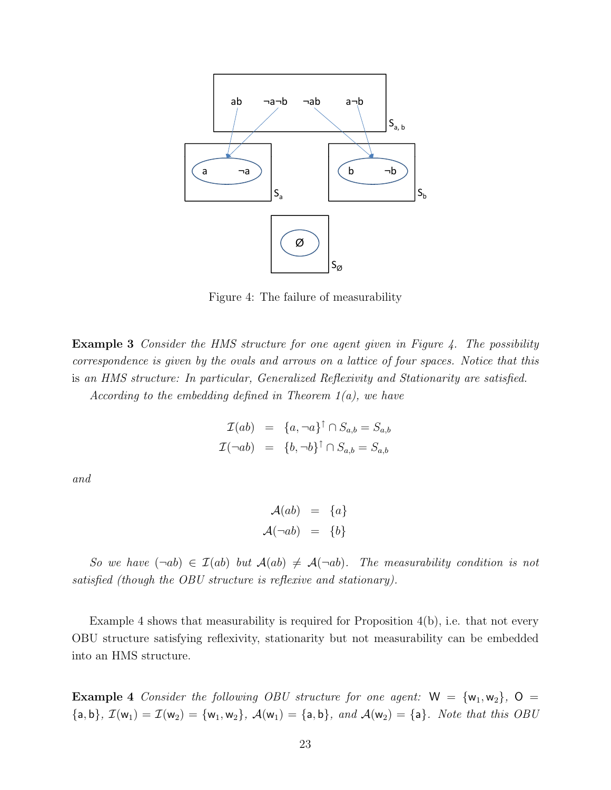

Figure 4: The failure of measurability

**Example 3** Consider the HMS structure for one agent given in Figure 4. The possibility correspondence is given by the ovals and arrows on a lattice of four spaces. Notice that this is an HMS structure: In particular, Generalized Reflexivity and Stationarity are satisfied.

According to the embedding defined in Theorem  $1(a)$ , we have

$$
\mathcal{I}(ab) = \{a, \neg a\}^{\uparrow} \cap S_{a,b} = S_{a,b}
$$

$$
\mathcal{I}(\neg ab) = \{b, \neg b\}^{\uparrow} \cap S_{a,b} = S_{a,b}
$$

and

$$
\mathcal{A}(ab) = \{a\}
$$

$$
\mathcal{A}(\neg ab) = \{b\}
$$

So we have  $(\neg ab) \in \mathcal{I}(ab)$  but  $\mathcal{A}(ab) \neq \mathcal{A}(\neg ab)$ . The measurability condition is not satisfied (though the OBU structure is reflexive and stationary).

Example 4 shows that measurability is required for Proposition 4(b), i.e. that not every OBU structure satisfying reflexivity, stationarity but not measurability can be embedded into an HMS structure.

**Example 4** Consider the following OBU structure for one agent:  $W = \{w_1, w_2\}$ ,  $O =$  ${a, b}, \mathcal{I}(w_1) = \mathcal{I}(w_2) = {w_1, w_2}, \mathcal{A}(w_1) = {a, b}, \text{ and } \mathcal{A}(w_2) = {a}.$  Note that this OBU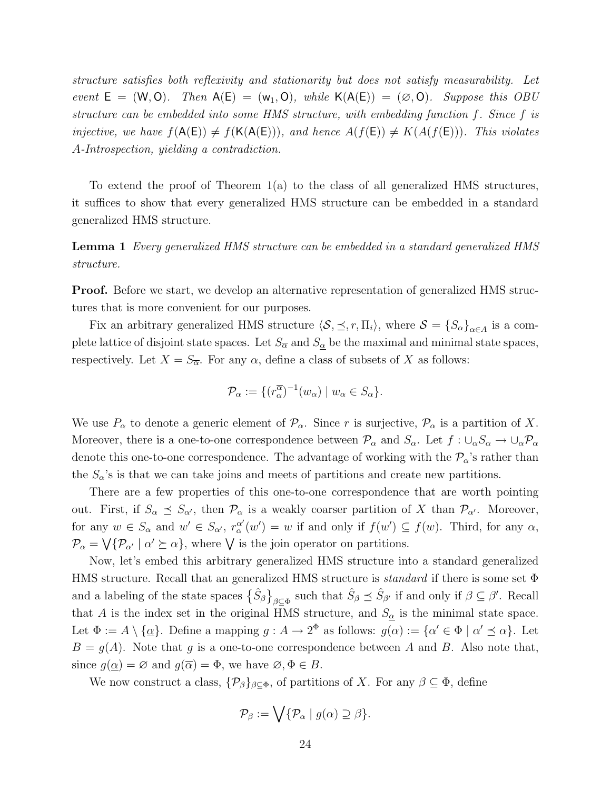structure satisfies both reflexivity and stationarity but does not satisfy measurability. Let event  $E = (W, O)$ . Then  $A(E) = (w_1, O)$ , while  $K(A(E)) = (Ø, O)$ . Suppose this OBU structure can be embedded into some HMS structure, with embedding function f. Since f is injective, we have  $f(A(E)) \neq f(K(A(E)))$ , and hence  $A(f(E)) \neq K(A(f(E)))$ . This violates A-Introspection, yielding a contradiction.

To extend the proof of Theorem 1(a) to the class of all generalized HMS structures, it suffices to show that every generalized HMS structure can be embedded in a standard generalized HMS structure.

Lemma 1 Every generalized HMS structure can be embedded in a standard generalized HMS structure.

Proof. Before we start, we develop an alternative representation of generalized HMS structures that is more convenient for our purposes.

Fix an arbitrary generalized HMS structure  $\langle S, \preceq, r, \Pi_i \rangle$ , where  $S = {\{S_\alpha\}}_{\alpha \in A}$  is a complete lattice of disjoint state spaces. Let  $S_{\overline{\alpha}}$  and  $S_{\underline{\alpha}}$  be the maximal and minimal state spaces, respectively. Let  $X = S_{\overline{\alpha}}$ . For any  $\alpha$ , define a class of subsets of X as follows:

$$
\mathcal{P}_{\alpha} := \{ (r_{\alpha}^{\overline{\alpha}})^{-1}(w_{\alpha}) \mid w_{\alpha} \in S_{\alpha} \}.
$$

We use  $P_{\alpha}$  to denote a generic element of  $\mathcal{P}_{\alpha}$ . Since r is surjective,  $\mathcal{P}_{\alpha}$  is a partition of X. Moreover, there is a one-to-one correspondence between  $\mathcal{P}_{\alpha}$  and  $S_{\alpha}$ . Let  $f : \cup_{\alpha} S_{\alpha} \to \cup_{\alpha} \mathcal{P}_{\alpha}$ denote this one-to-one correspondence. The advantage of working with the  $\mathcal{P}_{\alpha}$ 's rather than the  $S_{\alpha}$ 's is that we can take joins and meets of partitions and create new partitions.

There are a few properties of this one-to-one correspondence that are worth pointing out. First, if  $S_{\alpha} \preceq S_{\alpha'}$ , then  $\mathcal{P}_{\alpha}$  is a weakly coarser partition of X than  $\mathcal{P}_{\alpha'}$ . Moreover, for any  $w \in S_\alpha$  and  $w' \in S_{\alpha'}$ ,  $r_\alpha^{\alpha'}$  $\alpha'_{\alpha}(w') = w$  if and only if  $f(w') \subseteq f(w)$ . Third, for any  $\alpha$ ,  $\mathcal{P}_{\alpha} = \bigvee {\{\mathcal{P}_{\alpha'} \mid \alpha' \succeq \alpha\}}$ , where  $\bigvee$  is the join operator on partitions.

Now, let's embed this arbitrary generalized HMS structure into a standard generalized HMS structure. Recall that an generalized HMS structure is *standard* if there is some set  $\Phi$ and a labeling of the state spaces  $\{\hat{S}_{\beta}\}_{{\beta\subseteq\Phi}}$  such that  $\hat{S}_{\beta} \preceq \hat{S}_{\beta'}$  if and only if  $\beta \subseteq \beta'$ . Recall that A is the index set in the original HMS structure, and  $S_{\alpha}$  is the minimal state space. Let  $\Phi := A \setminus {\{\underline{\alpha}\}}$ . Define a mapping  $g : A \to 2^{\Phi}$  as follows:  $g(\alpha) := {\{\alpha' \in \Phi \mid \alpha' \preceq \alpha\}}$ . Let  $B = g(A)$ . Note that g is a one-to-one correspondence between A and B. Also note that, since  $g(\alpha) = \emptyset$  and  $g(\overline{\alpha}) = \Phi$ , we have  $\emptyset, \Phi \in B$ .

We now construct a class,  $\{\mathcal{P}_{\beta}\}_{{\beta\subset \Phi}}$ , of partitions of X. For any  $\beta \subseteq \Phi$ , define

$$
\mathcal{P}_{\beta} := \bigvee \{ \mathcal{P}_{\alpha} \mid g(\alpha) \supseteq \beta \}.
$$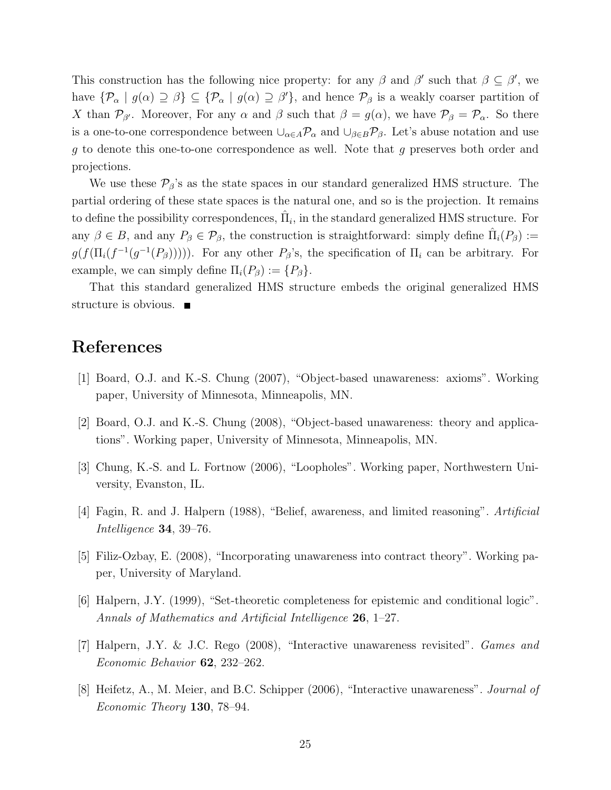This construction has the following nice property: for any  $\beta$  and  $\beta'$  such that  $\beta \subseteq \beta'$ , we have  ${\mathcal{P}_{\alpha} \mid g(\alpha) \supseteq \beta} \subseteq {\mathcal{P}_{\alpha} \mid g(\alpha) \supseteq \beta'}$ , and hence  $\mathcal{P}_{\beta}$  is a weakly coarser partition of X than  $\mathcal{P}_{\beta}$ . Moreover, For any  $\alpha$  and  $\beta$  such that  $\beta = g(\alpha)$ , we have  $\mathcal{P}_{\beta} = \mathcal{P}_{\alpha}$ . So there is a one-to-one correspondence between  $\cup_{\alpha \in A} \mathcal{P}_\alpha$  and  $\cup_{\beta \in B} \mathcal{P}_\beta$ . Let's abuse notation and use g to denote this one-to-one correspondence as well. Note that g preserves both order and projections.

We use these  $\mathcal{P}_{\beta}$ 's as the state spaces in our standard generalized HMS structure. The partial ordering of these state spaces is the natural one, and so is the projection. It remains to define the possibility correspondences,  $\hat{\Pi}_i$ , in the standard generalized HMS structure. For any  $\beta \in B$ , and any  $P_{\beta} \in \mathcal{P}_{\beta}$ , the construction is straightforward: simply define  $\hat{\Pi}_i(P_{\beta}) :=$  $g(f(\Pi_i(f^{-1}(g^{-1}(P_{\beta})))))$ . For any other  $P_{\beta}$ 's, the specification of  $\Pi_i$  can be arbitrary. For example, we can simply define  $\Pi_i(P_\beta) := \{P_\beta\}.$ 

That this standard generalized HMS structure embeds the original generalized HMS structure is obvious.  $\blacksquare$ 

# References

- [1] Board, O.J. and K.-S. Chung (2007), "Object-based unawareness: axioms". Working paper, University of Minnesota, Minneapolis, MN.
- [2] Board, O.J. and K.-S. Chung (2008), "Object-based unawareness: theory and applications". Working paper, University of Minnesota, Minneapolis, MN.
- [3] Chung, K.-S. and L. Fortnow (2006), "Loopholes". Working paper, Northwestern University, Evanston, IL.
- [4] Fagin, R. and J. Halpern (1988), "Belief, awareness, and limited reasoning". Artificial Intelligence 34, 39–76.
- [5] Filiz-Ozbay, E. (2008), "Incorporating unawareness into contract theory". Working paper, University of Maryland.
- [6] Halpern, J.Y. (1999), "Set-theoretic completeness for epistemic and conditional logic". Annals of Mathematics and Artificial Intelligence 26, 1–27.
- [7] Halpern, J.Y. & J.C. Rego (2008), "Interactive unawareness revisited". Games and Economic Behavior 62, 232–262.
- [8] Heifetz, A., M. Meier, and B.C. Schipper (2006), "Interactive unawareness". Journal of Economic Theory 130, 78–94.